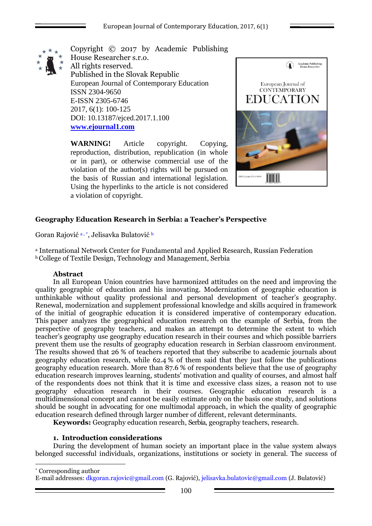

Copyright © 2017 by Academic Publishing House Researcher s.r.o. All rights reserved. Published in the Slovak Republic European Journal of Contemporary Education ISSN 2304-9650 E-ISSN 2305-6746 2017, 6(1): 100-125 DOI: 10.13187/ejced.2017.1.100 **[www.ejournal1.com](http://www.ejournal1.com/)**

**WARNING!** Article copyright. Copying, reproduction, distribution, republication (in whole or in part), or otherwise commercial use of the violation of the author(s) rights will be pursued on the basis of Russian and international legislation. Using the hyperlinks to the article is not considered a violation of copyright.



## **Geography Education Research in Serbia: a Teacher's Perspective**

Goran Rajović a, \*, Jelisavka Bulatović b

<sup>a</sup> International Network Center for Fundamental and Applied Research, Russian Federation **b** College of Textile Design, Technology and Management, Serbia

#### **Abstract**

1

In all European Union countries have harmonized attitudes on the need and improving the quality geographic of education and his innovating. Modernization of geographic education is unthinkable without quality professional and personal development of teacher's geography. Renewal, modernization and supplement professional knowledge and skills acquired in framework of the initial of geographic education it is considered imperative of contemporary education. This paper analyzes the geographical education research on the example of Serbia, from the perspective of geography teachers, and makes an attempt to determine the extent to which teacher's geography use geography education research in their courses and which possible barriers prevent them use the results of geography education research in Serbian classroom environment. The results showed that 26 % of teachers reported that they subscribe to academic journals about geography education research, while  $62.4\%$  of them said that they just follow the publications geography education research. More than 87.6 % of respondents believe that the use of geography education research improves learning, students' motivation and quality of courses, and almost half of the respondents does not think that it is time and excessive class sizes, a reason not to use geography education research in their courses. Geographic education research is a multidimensional concept and cannot be easily estimate only on the basis one study, and solutions should be sought in advocating for one multimodal approach, in which the quality of geographic education research defined through larger number of different, relevant determinants.

**Keywords:** Geography education research, Serbia, geography teachers, research.

#### **1. Introduction considerations**

During the development of human society an important place in the value system always belonged successful individuals, organizations, institutions or society in general. The success of

\* Corresponding author E-mail addresses: dkgoran.rajovic@gmail.com (G. Rajović), jelisavka.bulatovic@gmail.com (J. Bulatović)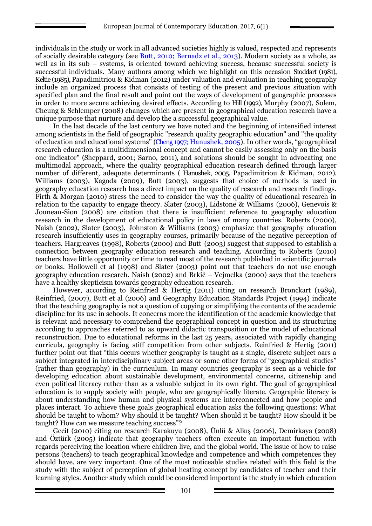individuals in the study or work in all advanced societies highly is valued, respected and represents of socially desirable category (see Butt, 2010; Bernadz et al., 2013). Modern society as a whole, as well as in its sub – systems, is oriented toward achieving success, because successful society is successful individuals. Many authors among which we highlight on this occasion Stoddart (1981), Keltie (1985), Papadimitriou & Kidman (2012) under valuation and evaluation in teaching geography include an organized process that consists of testing of the present and previous situation with specified plan and the final result and point out the ways of development of geographic processes in order to more secure achieving desired effects. According to Hill (1992), Murphy (2007), Solem, Cheung & Schlemper (2008) changes which are present in geographical education research have a unique purpose that nurture and develop the a successful geographical value.

In the last decade of the last century we have noted and the beginning of intensified interest among scientists in the field of geographic "research quality geographic education" and "the quality of education and educational systems" (Cheng 1997; Hanushek, 2005). In other words, "geographical research education is a multidimensional concept and cannot be easily assessing only on the basis one indicator" (Sheppard, 2001; Sarno, 2011), and solutions should be sought in advocating one multimodal approach, where the quality geographical education research defined through larger number of different, adequate determinants ( Hanushek, 2005, Papadimitriou & Kidman, 2012). Williams (2003), Kagoda (2009), Butt (2003), suggests that choice of methods is used in geography education research has a direct impact on the quality of research and research findings. Firth & Morgan (2010) stress the need to consider the way the quality of educational research in relation to the capacity to engage theory. Slater (2003), Lidstone & Williams (2006), Genevois & Jouneau-Sion (2008) are citation that there is insufficient reference to geography education research in the development of educational policy in laws of many countries. Roberts (2000), Naish (2002), Slater (2003), Johnston & Williams (2003) emphasize that geography education research insufficiently uses in geography courses, primarily because of the negative perception of teachers. Hargreaves (1998), Roberts (2000) and Butt (2003) suggest that supposed to establish a connection between geography education research and teaching. According to Roberts (2010) teachers have little opportunity or time to read most of the research published in scientific journals or books. Hollowell et al (1998) and Slater (2003) point out that teachers do not use enough geography education research. Naish (2002) and Brkić – Vejmelka (2000) says that the teachers have a healthy skepticism towards geography education research.

However, according to Reinfried & Hertig (2011) citing on research Bronckart (1989), Reinfried, (2007), Butt et al (2006) and Geography Education Standards Project (1994) indicate that the teaching geography is not a question of copying or simplifying the contents of the academic discipline for its use in schools. It concerns more the identification of the academic knowledge that is relevant and necessary to comprehend the geographical concept in question and its structuring according to approaches referred to as upward didactic transposition or the model of educational reconstruction. Due to educational reforms in the last 25 years, associated with rapidly changing curricula, geography is facing stiff competition from other subjects. Reinfried  $\&$  Hertig (2011) further point out that "this occurs whether geography is taught as a single, discrete subject oars a subject integrated in interdisciplinary subject areas or some other forms of "geographical studies" (rather than geography) in the curriculum. In many countries geography is seen as a vehicle for developing education about sustainable development, environmental concerns, citizenship and even political literacy rather than as a valuable subject in its own right. The goal of geographical education is to supply society with people, who are geographically literate. Geographic literacy is about understanding how human and physical systems are interconnected and how people and places interact. To achieve these goals geographical education asks the following questions: What should be taught to whom? Why should it be taught? When should it be taught? How should it be taught? How can we measure teaching success"?

Gecit (2010) citing on research Karakuyu (2008), Ünlü & Alkış (2006), Demirkaya (2008) and Öztürk (2005) indicate that geography teachers often execute an important function with regards perceiving the location where children live, and the global world. The issue of how to raise persons (teachers) to teach geographical knowledge and competence and which competences they should have, are very important. One of the most noticeable studies related with this field is the study with the subject of perception of global heating concept by candidates of teacher and their learning styles. Another study which could be considered important is the study in which education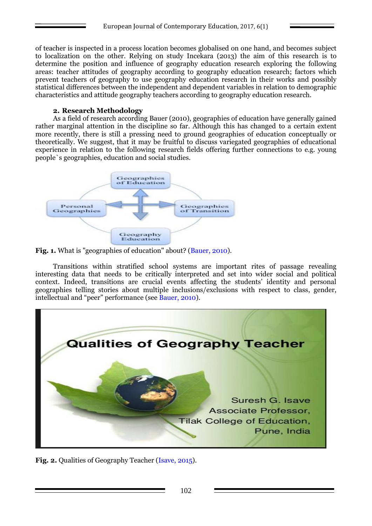of teacher is inspected in a process location becomes globalised on one hand, and becomes subject to localization on the other. Relying on study Incekara (2013) the aim of this research is to determine the position and influence of geography education research exploring the following areas: teacher attitudes of geography according to geography education research; factors which prevent teachers of geography to use geography education research in their works and possibly statistical differences between the independent and dependent variables in relation to demographic characteristics and attitude geography teachers according to geography education research.

## **2. Research Methodology**

As a field of research according Bauer (2010), geographies of education have generally gained rather marginal attention in the discipline so far. Although this has changed to a certain extent more recently, there is still a pressing need to ground geographies of education conceptually or theoretically. We suggest, that it may be fruitful to discuss variegated geographies of educational experience in relation to the following research fields offering further connections to e.g. young people`s geographies, education and social studies.



**Fig. 1.** What is "geographies of education" about? (Bauer, 2010).

Transitions within stratified school systems are important rites of passage revealing interesting data that needs to be critically interpreted and set into wider social and political context. Indeed, transitions are crucial events affecting the students' identity and personal geographies telling stories about multiple inclusions/exclusions with respect to class, gender, intellectual and "peer" performance (see Bauer, 2010).



**Fig. 2.** Qualities of Geography Teacher (Isave, 2015).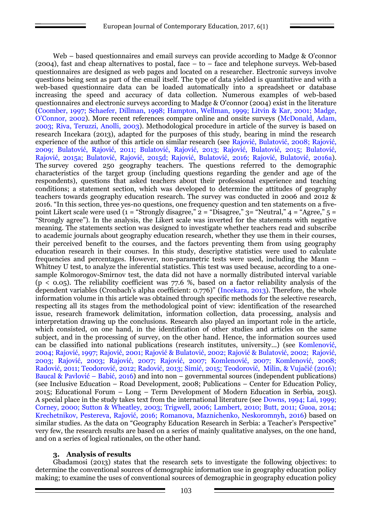Web – based questionnaires and email surveys can provide according to Madge & O'connor (2004), fast and cheap alternatives to postal, face – to – face and telephone surveys. Web-based questionnaires are designed as web pages and located on a researcher. Electronic surveys involve questions being sent as part of the email itself. The type of data yielded is quantitative and with a web-based questionnaire data can be loaded automatically into a spreadsheet or database increasing the speed and accuracy of data collection. Numerous examples of web-based questionnaires and electronic surveys according to Madge & O'connor (2004) exist in the literature (Coomber, 1997; Schaefer, Dillman, 1998; Hampton, Wellman, 1999; Litvin & Kar, 2001; Madge, O'Connor, 2002). More recent references compare online and onsite surveys (McDonald, Adam, 2003; Riva, Teruzzi, Anolli, 2003). Methodological procedure in article of the survey is based on research Incekara (2013), adapted for the purposes of this study, bearing in mind the research experience of the author of this article on similar research (see Rajović, Bulatović, 2008; Rajović, 2009; Bulatović, Rajović, 2011; Bulatović, Rajović, 2013; Rajović, Bulatović, 2015; Bulatović, Rajović, 2015a; Bulatović, Rajović, 2015d; Rajović, Bulatović, 2016; Rajović, Bulatović, 2016a). The survey covered 250 geography teachers. The questions referred to the demographic characteristics of the target group (including questions regarding the gender and age of the respondents), questions that asked teachers about their professional experience and teaching conditions; a statement section, which was developed to determine the attitudes of geography teachers towards geography education research. The survey was conducted in 2006 and 2012 & 2016. "In this section, three yes-no questions, one frequency question and ten statements on a fivepoint Likert scale were used  $(1 = "Strongly disagree," 2 = "Disagree," 3 = "Neutral," 4 = "Agree," 5 =$ "Strongly agree"). In the analysis, the Likert scale was inverted for the statements with negative meaning. The statements section was designed to investigate whether teachers read and subscribe to academic journals about geography education research, whether they use them in their courses, their perceived benefit to the courses, and the factors preventing them from using geography education research in their courses. In this study, descriptive statistics were used to calculate frequencies and percentages. However, non-parametric tests were used, including the Mann – Whitney U test, to analyze the inferential statistics. This test was used because, according to a onesample Kolmorogov-Smirnov test, the data did not have a normally distributed interval variable  $(p < 0.05)$ . The reliability coefficient was 77.6 %, based on a factor reliability analysis of the dependent variables (Cronbach's alpha coefficient: 0.776)" (Incekara, 2013). Therefore, the whole information volume in this article was obtained through specific methods for the selective research, respecting all its stages from the methodological point of view: identification of the researched issue, research framework delimitation, information collection, data processing, analysis and interpretation drawing up the conclusions. Research also played an important role in the article, which consisted, on one hand, in the identification of other studies and articles on the same subject, and in the processing of survey, on the other hand. Hence, the information sources used can be classified into national publications (research institutes, university...) (see Komlenović, 2004; Rajović, 1997; Rajović, 2001; Rajović & Bulatović, 2002; Rajović & Bulatović, 2002; Rajović, 2003; Rajović, 2003; Rajović, 2007; Rajović, 2007; Komlenović, 2007; Komlenović, 2008; Radović, 2011; Teodorović, 2012; Radović, 2013; Simić, 2015; Teodorović, Milin, & Vujačić (2016); Baucal & Pavlović – Babić, 2016) and into non – governmental sources (independent publications) (see Inclusive Education – Road Development, 2008; Publications – Center for Education Policy, 2015; Educational Forum – Long – Term Development of Modern Education in Serbia, 2015). A special place in the study takes text from the international literature (see Downs, 1994; Lai, 1999; Corney, 2000; Sutton & Wheatley, 2003; Trigwell, 2006; Lambert, 2010; Butt, 2011; Guoa, 2014; Krechetnikov, Pestereva, Rajović, 2016; Romanova, Maznichenko, Neskoromnyh, 2016) based on similar studies. As the data on "Geography Education Research in Serbia: a Teacher's Perspective" very few, the research results are based on a series of mainly qualitative analyses, on the one hand, and on a series of logical rationales, on the other hand.

### **3. Analysis of results**

Gbadamosi (2013) states that the research sets to investigate the following objectives: to determine the conventional sources of demographic information use in geography education policy making; to examine the uses of conventional sources of demographic in geography education policy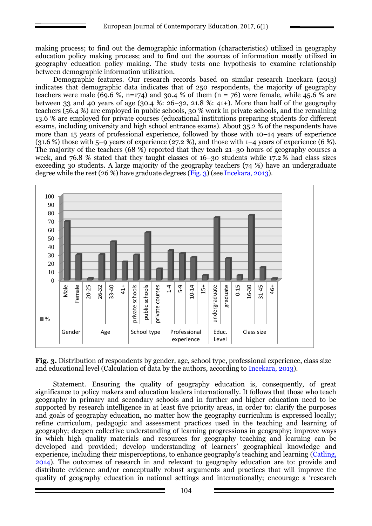making process; to find out the demographic information (characteristics) utilized in geography education policy making process; and to find out the sources of information mostly utilized in geography education policy making. The study tests one hypothesis to examine relationship between demographic information utilization.

Demographic features. Our research records based on similar research Incekara (2013) indicates that demographic data indicates that of 250 respondents, the majority of geography teachers were male (69.6 %, n=174) and 30.4 % of them (n = 76) were female, while 45.6 % are between 33 and 40 years of age (30.4 %:  $26-32$ , 21.8 %: 41+). More than half of the geography teachers (56.4 %) are employed in public schools, 30 % work in private schools, and the remaining 13.6 % are employed for private courses (educational institutions preparing students for different exams, including university and high school entrance exams). About 35.2 % of the respondents have more than 15 years of professional experience, followed by those with 10–14 years of experience  $(31.6\%)$  those with 5–9 years of experience (27.2 %), and those with 1–4 years of experience (6 %). The majority of the teachers (68 %) reported that they teach 21–30 hours of geography courses a week, and 76.8 % stated that they taught classes of 16–30 students while 17.2 % had class sizes exceeding 30 students. A large majority of the geography teachers (74 %) have an undergraduate degree while the rest (26 %) have graduate degrees (Fig. 3) (see Incekara, 2013).



**Fig. 3.** Distribution of respondents by gender, age, school type, professional experience, class size and educational level (Calculation of data by the authors, according to Incekara, 2013).

Statement. Ensuring the quality of geography education is, consequently, of great significance to policy makers and education leaders internationally. It follows that those who teach geography in primary and secondary schools and in further and higher education need to be supported by research intelligence in at least five priority areas, in order to: clarify the purposes and goals of geography education, no matter how the geography curriculum is expressed locally; refine curriculum, pedagogic and assessment practices used in the teaching and learning of geography; deepen collective understanding of learning progressions in geography; improve ways in which high quality materials and resources for geography teaching and learning can be developed and provided; develop understanding of learners' geographical knowledge and experience, including their misperceptions, to enhance geography's teaching and learning (Catling, 2014). The outcomes of research in and relevant to geography education are to: provide and distribute evidence and/or conceptually robust arguments and practices that will improve the quality of geography education in national settings and internationally; encourage a 'research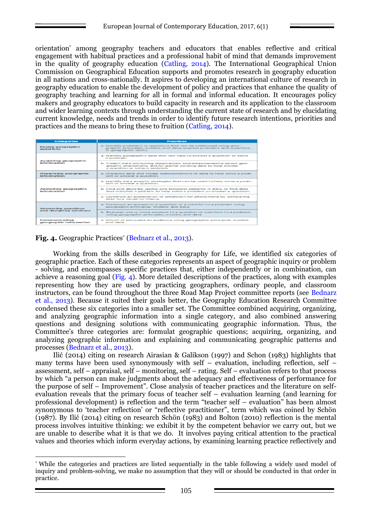orientation' among geography teachers and educators that enables reflective and critical engagement with habitual practices and a professional habit of mind that demands improvement in the quality of geography education (Catling, 2014). The International Geographical Union Commission on Geographical Education supports and promotes research in geography education in all nations and cross-nationally. It aspires to developing an international culture of research in geography education to enable the development of policy and practices that enhance the quality of geography teaching and learning for all in formal and informal education. It encourages policy makers and geography educators to build capacity in research and its application to the classroom and wider learning contexts through understanding the current state of research and by elucidating current knowledge, needs and trends in order to identify future research intentions, priorities and practices and the means to bring these to fruition (Catling, 2014).

| Categories                              | <b>Practices</b>                                                                                                                                                        |
|-----------------------------------------|-------------------------------------------------------------------------------------------------------------------------------------------------------------------------|
| Posing geographic<br>questions          | a. Identify problems or questions that can be addressed using geo-<br>graphic principles, models, and data: express problems and questions<br>in geographic terms.      |
| <b>Acquiring geographic</b>             | a. Identify geographic data that can help to answer a question or solve<br>a problem.                                                                                   |
| landscopers actions.                    | b. Collect data (including observations and measurements) about geo-<br>graphic phenomena, and/or gather existing data to help answer<br>a question or solve a problem. |
| Organizing geographic<br>information    | a. Organize data and create representations of data to help solve a prob-<br>lem or answer a question.                                                                  |
|                                         | a. Identify data analysis strategies that can be used to help solve a prob-<br>lem or answer a question.                                                                |
| Analyzing geographic<br>information.    | b. Find and describe spatial and temporal patterns in data, or find data<br>that matches a pattern, to help solve a problem or answer a question.                       |
|                                         | c. Construct an explanation or prediction for phenomena by comparing<br>data to a model or theory.                                                                      |
| <b>Answering questions</b>              | a. Construct an answer to a question or a solution to a problem using<br>geographic principles, models, and data.                                                       |
| and designing solutions                 | b. Evaluate one or more answers to a question or solutions to a problem<br>using geographic principles, models, and data.                                               |
| Communicating<br>geographic information | a. Inform or persuade an audience using geographic principles, models,<br>and data.                                                                                     |

## **Fig. 4.** Geographic Practices<sup>\*</sup> (Bednarz et al., 2013).

Working from the skills described in Geography for Life, we identified six categories of geographic practice. Each of these categories represents an aspect of geographic inquiry or problem - solving, and encompasses specific practices that, either independently or in combination, can achieve a reasoning goal (Fig. 4). More detailed descriptions of the practices, along with examples representing how they are used by practicing geographers, ordinary people, and classroom instructors, can be found throughout the three Road Map Project committee reports (see Bednarz et al., 2013). Because it suited their goals better, the Geography Education Research Committee condensed these six categories into a smaller set. The Committee combined acquiring, organizing, and analyzing geographic information into a single category, and also combined answering questions and designing solutions with communicating geographic information. Thus, the Committee's three categories are: formulat geographic questions; acquiring, organizing, and analyzing geographic information and explaining and communicating geographic patterns and processes (Bednarz et al., 2013).

Ilić (2014) citing on research Airasian & Galikson (1997) and Schon (1983) highlights that many terms have been used synonymously with self – evaluation, including reflection, self – assessment, self – appraisal, self – monitoring, self – rating. Self – evaluation refers to that process by which "a person can make judgments about the adequacy and effectiveness of performance for the purpose of self – Improvement". Close analysis of teacher practices and the literature on selfevaluation reveals that the primary focus of teacher self – evaluation learning (and learning for professional development) is reflection and the term "teacher self – evaluation" has been almost synonymous to 'teacher reflection' or "reflective practitioner", term which was coined by Schön (1987). By Ilić (2014) citing on research Schön (1983) and Bolton (2010) reflection is the mental process involves intuitive thinking: we exhibit it by the competent behavior we carry out, but we are unable to describe what it is that we do. It involves paying critical attention to the practical values and theories which inform everyday actions, by examining learning practice reflectively and

<sup>1</sup> \* While the categories and practices are listed sequentially in the table following a widely used model of inquiry and problem-solving, we make no assumption that they will or should be conducted in that order in practice.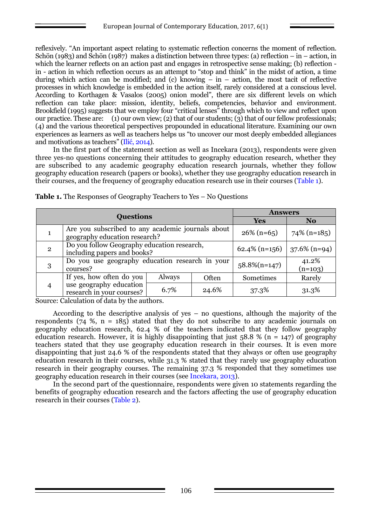reflexively. "An important aspect relating to systematic reflection concerns the moment of reflection. Schön (1983) and Schön (1987) makes a distinction between three types: (a) reflection – in – action, in which the learner reflects on an action past and engages in retrospective sense making; (b) reflection in - action in which reflection occurs as an attempt to "stop and think" in the midst of action, a time during which action can be modified; and (c) knowing  $-\text{ in } -$  action, the most tacit of reflective processes in which knowledge is embedded in the action itself, rarely considered at a conscious level. According to Korthagen & Vasalos (2005) onion model", there are six different levels on which reflection can take place: mission, identity, beliefs, competencies, behavior and environment. Brookfield (1995) suggests that we employ four "critical lenses" through which to view and reflect upon our practice. These are: (1) our own view; (2) that of our students; (3) that of our fellow professionals; (4) and the various theoretical perspectives propounded in educational literature. Examining our own experiences as learners as well as teachers helps us "to uncover our most deeply embedded allegiances and motivations as teachers" (Ilić, 2014).

In the first part of the statement section as well as Incekara (2013), respondents were given three yes-no questions concerning their attitudes to geography education research, whether they are subscribed to any academic geography education research journals, whether they follow geography education research (papers or books), whether they use geography education research in their courses, and the frequency of geography education research use in their courses (Table 1).

|                | <b>Questions</b>                                                           | <b>Answers</b>                                                                     |                    |           |        |  |  |
|----------------|----------------------------------------------------------------------------|------------------------------------------------------------------------------------|--------------------|-----------|--------|--|--|
|                |                                                                            | <b>Yes</b>                                                                         | N <sub>0</sub>     |           |        |  |  |
|                |                                                                            | Are you subscribed to any academic journals about<br>geography education research? |                    |           |        |  |  |
| $\overline{2}$ | Do you follow Geography education research,<br>including papers and books? | $62.4\%$ (n=156)                                                                   | $37.6\%$ (n=94)    |           |        |  |  |
| 3              | Do you use geography education research in vour<br>courses?                | $58.8\%(n=147)$                                                                    | 41.2%<br>$(n=103)$ |           |        |  |  |
|                | If yes, how often do you                                                   | Always                                                                             | Often              | Sometimes | Rarely |  |  |
| 4              | use geography education<br>research in your courses?                       | 6.7%                                                                               | 24.6%              | 37.3%     | 31.3%  |  |  |

**Table 1.** The Responses of Geography Teachers to Yes – No Questions

Source: Calculation of data by the authors.

According to the descriptive analysis of yes  $-$  no questions, although the majority of the respondents (74 %,  $n = 185$ ) stated that they do not subscribe to any academic journals on geography education research, 62.4 % of the teachers indicated that they follow geography education research. However, it is highly disappointing that just  $58.8\%$  (n = 147) of geography teachers stated that they use geography education research in their courses. It is even more disappointing that just 24.6 % of the respondents stated that they always or often use geography education research in their courses, while 31.3 % stated that they rarely use geography education research in their geography courses. The remaining 37.3 % responded that they sometimes use geography education research in their courses (see Incekara, 2013).

In the second part of the questionnaire, respondents were given 10 statements regarding the benefits of geography education research and the factors affecting the use of geography education research in their courses (Table 2).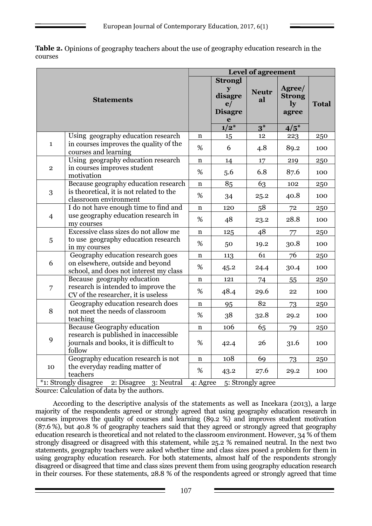| <b>Table 2.</b> Opinions of geography teachers about the use of geography education research in the |  |
|-----------------------------------------------------------------------------------------------------|--|
| courses                                                                                             |  |

|                                                                                                              |                                                                                           |             |                                                                                   | <b>Level of agreement</b>   |                                                             |              |
|--------------------------------------------------------------------------------------------------------------|-------------------------------------------------------------------------------------------|-------------|-----------------------------------------------------------------------------------|-----------------------------|-------------------------------------------------------------|--------------|
| <b>Statements</b>                                                                                            |                                                                                           |             | <b>Strongl</b><br>$\mathbf{y}$<br>disagre<br>e/<br><b>Disagre</b><br>e<br>$1/2^*$ | <b>Neutr</b><br>al<br>$3^*$ | Agree/<br><b>Strong</b><br>$\mathbf{I} \mathbf{y}$<br>agree | <b>Total</b> |
|                                                                                                              | Using geography education research                                                        | $\mathbf n$ | 15                                                                                | 12                          | $4/5^*$                                                     | 250          |
| $\mathbf{1}$                                                                                                 | in courses improves the quality of the<br>courses and learning                            | %           | 6                                                                                 | 4.8                         | 223<br>89.2                                                 | 100          |
|                                                                                                              | Using geography education research                                                        | n           | 14                                                                                | 17                          | 219                                                         | 250          |
| $\overline{2}$                                                                                               | in courses improves student<br>motivation                                                 | %           | 5.6                                                                               | 6.8                         | 87.6                                                        | 100          |
|                                                                                                              | Because geography education research                                                      | $\mathbf n$ | 85                                                                                | 63                          | 102                                                         | 250          |
| 3                                                                                                            | is theoretical, it is not related to the<br>classroom environment                         | %           | 34                                                                                | 25.2                        | 40.8                                                        | 100          |
| I do not have enough time to find and<br>use geography education research in<br>$\overline{4}$<br>my courses |                                                                                           | $\mathbf n$ | 120                                                                               | 58                          | 72                                                          | 250          |
|                                                                                                              | %                                                                                         | 48          | 23.2                                                                              | 28.8                        | 100                                                         |              |
|                                                                                                              | Excessive class sizes do not allow me                                                     | $\mathbf n$ | 125                                                                               | 48                          | 77                                                          | 250          |
| 5                                                                                                            | to use geography education research<br>in my courses                                      | %           | 50                                                                                | 19.2                        | 30.8                                                        | 100          |
|                                                                                                              | Geography education research goes                                                         | $\mathbf n$ | 113                                                                               | 61                          | 76                                                          | 250          |
| 6                                                                                                            | on elsewhere, outside and beyond<br>school, and does not interest my class                | %           | 45.2                                                                              | 24.4                        | 30.4                                                        | 100          |
|                                                                                                              | Because geography education                                                               | $\mathbf n$ | 121                                                                               | 74                          | 55                                                          | 250          |
| $\overline{7}$                                                                                               | research is intended to improve the<br>CV of the researcher, it is useless                | %           | 48.4                                                                              | 29.6                        | 22                                                          | 100          |
|                                                                                                              | Geography education research does                                                         | n           | 95                                                                                | 82                          | 73                                                          | 250          |
| 8                                                                                                            | not meet the needs of classroom<br>teaching                                               | %           | 38                                                                                | 32.8                        | 29.2                                                        | 100          |
|                                                                                                              | <b>Because Geography education</b>                                                        | $\mathbf n$ | 106                                                                               | 65                          | 79                                                          | 250          |
| 9                                                                                                            | research is published in inaccessible<br>journals and books, it is difficult to<br>follow | %           | 42.4                                                                              | 26                          | 31.6                                                        | 100          |
|                                                                                                              | Geography education research is not                                                       | $\mathbf n$ | 108                                                                               | 69                          | 73                                                          | 250          |
| 10                                                                                                           | the everyday reading matter of<br>teachers                                                | %           | 43.2                                                                              | 27.6                        | 29.2                                                        | 100          |
|                                                                                                              | *1: Strongly disagree<br>2: Disagree 3: Neutral                                           | 4: Agree    |                                                                                   | 5: Strongly agree           |                                                             |              |

Source: Calculation of data by the authors.

According to the descriptive analysis of the statements as well as Incekara (2013), a large majority of the respondents agreed or strongly agreed that using geography education research in courses improves the quality of courses and learning (89.2 %) and improves student motivation (87.6 %), but 40.8 % of geography teachers said that they agreed or strongly agreed that geography education research is theoretical and not related to the classroom environment. However, 34 % of them strongly disagreed or disagreed with this statement, while 25.2 % remained neutral. In the next two statements, geography teachers were asked whether time and class sizes posed a problem for them in using geography education research. For both statements, almost half of the respondents strongly disagreed or disagreed that time and class sizes prevent them from using geography education research in their courses. For these statements, 28.8 % of the respondents agreed or strongly agreed that time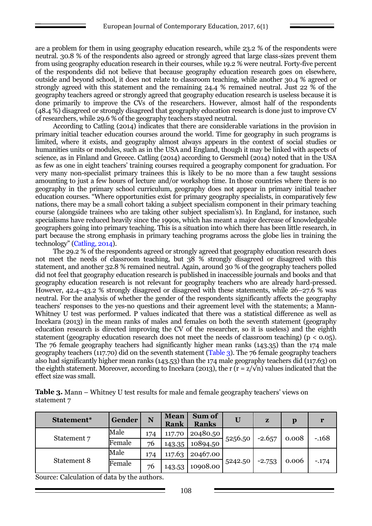are a problem for them in using geography education research, while 23.2 % of the respondents were neutral. 30.8 % of the respondents also agreed or strongly agreed that large class-sizes prevent them from using geography education research in their courses, while 19.2 % were neutral. Forty-five percent of the respondents did not believe that because geography education research goes on elsewhere, outside and beyond school, it does not relate to classroom teaching, while another 30.4 % agreed or strongly agreed with this statement and the remaining 24.4 % remained neutral. Just 22 % of the geography teachers agreed or strongly agreed that geography education research is useless because it is done primarily to improve the CVs of the researchers. However, almost half of the respondents (48.4 %) disagreed or strongly disagreed that geography education research is done just to improve CV of researchers, while 29.6 % of the geography teachers stayed neutral.

According to Catling (2014) indicates that there are considerable variations in the provision in primary initial teacher education courses around the world. Time for geography in such programs is limited, where it exists, and geography almost always appears in the context of social studies or humanities units or modules, such as in the USA and England, though it may be linked with aspects of science, as in Finland and Greece. Catling (2014) according to Gersmehl (2014) noted that in the USA as few as one in eight teachers' training courses required a geography component for graduation. For very many non-specialist primary trainees this is likely to be no more than a few taught sessions amounting to just a few hours of lecture and/or workshop time. In those countries where there is no geography in the primary school curriculum, geography does not appear in primary initial teacher education courses. "Where opportunities exist for primary geography specialists, in comparatively few nations, there may be a small cohort taking a subject specialism component in their primary teaching course (alongside trainees who are taking other subject specialism's). In England, for instance, such specialisms have reduced heavily since the 1990s, which has meant a major decrease of knowledgeable geographers going into primary teaching. This is a situation into which there has been little research, in part because the strong emphasis in primary teaching programs across the globe lies in training the technology" (Catling, 2014).

The 29.2 % of the respondents agreed or strongly agreed that geography education research does not meet the needs of classroom teaching, but 38 % strongly disagreed or disagreed with this statement, and another 32.8 % remained neutral. Again, around 30 % of the geography teachers polled did not feel that geography education research is published in inaccessible journals and books and that geography education research is not relevant for geography teachers who are already hard-pressed. However, 42.4–43.2 % strongly disagreed or disagreed with these statements, while 26–27.6 % was neutral. For the analysis of whether the gender of the respondents significantly affects the geography teachers' responses to the yes-no questions and their agreement level with the statements; a Mann-Whitney U test was performed. P values indicated that there was a statistical difference as well as Incekara (2013) in the mean ranks of males and females on both the seventh statement (geography education research is directed improving the CV of the researcher, so it is useless) and the eighth statement (geography education research does not meet the needs of classroom teaching) ( $p < 0.05$ ). The 76 female geography teachers had significantly higher mean ranks (143.35) than the 174 male geography teachers (117.70) did on the seventh statement (Table 3). The 76 female geography teachers also had significantly higher mean ranks (143.53) than the 174 male geography teachers did (117.63) on the eighth statement. Moreover, according to Incekara (2013), the r (r =  $z/\sqrt{n}$ ) values indicated that the effect size was small.

| Table 3. Mann – Whitney U test results for male and female geography teachers' views on |  |
|-----------------------------------------------------------------------------------------|--|
| statement 7                                                                             |  |

| Statement <sup>*</sup> | Gender | N   | <b>Mean</b><br>Rank | Sum of<br><b>Ranks</b> | U       | $\mathbf{z}$ | p     |         |  |
|------------------------|--------|-----|---------------------|------------------------|---------|--------------|-------|---------|--|
| Statement 7            | Male   | 174 | 117.70              | 20480.50               | 5256.50 | $-2.657$     | 0.008 | $-.168$ |  |
|                        | Female | 76  | 143.35              | 10894.50               |         |              |       |         |  |
| Statement 8            | Male   | 174 | 117.63              | 20467.00               |         |              |       |         |  |
|                        | Female | 76  | 143.53              | 10908.00               | 5242.50 | $-2.753$     | 0.006 | $-174$  |  |

Source: Calculation of data by the authors.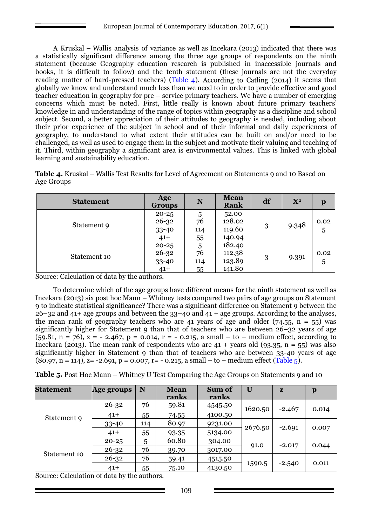A Kruskal – Wallis analysis of variance as well as Incekara (2013) indicated that there was a statistically significant difference among the three age groups of respondents on the ninth statement (because Geography education research is published in inaccessible journals and books, it is difficult to follow) and the tenth statement (these journals are not the everyday reading matter of hard-pressed teachers) (Table 4). According to Catling (2014) it seems that globally we know and understand much less than we need to in order to provide effective and good teacher education in geography for pre – service primary teachers. We have a number of emerging concerns which must be noted. First, little really is known about future primary teachers' knowledge in and understanding of the range of topics within geography as a discipline and school subject. Second, a better appreciation of their attitudes to geography is needed, including about their prior experience of the subject in school and of their informal and daily experiences of geography, to understand to what extent their attitudes can be built on and/or need to be challenged, as well as used to engage them in the subject and motivate their valuing and teaching of it. Third, within geography a significant area is environmental values. This is linked with global learning and sustainability education.

**Table 4.** Kruskal – Wallis Test Results for Level of Agreement on Statements 9 and 10 Based on Age Groups

| <b>Statement</b> | Age<br><b>Groups</b>                     | N                          | <b>Mean</b><br>Rank                  | df | $X^2$ | $\mathbf{p}$ |
|------------------|------------------------------------------|----------------------------|--------------------------------------|----|-------|--------------|
| Statement 9      | $20 - 25$<br>$26 - 32$<br>33-40<br>$41+$ | 5<br>76<br>114             | 52.00<br>128.02<br>119.60<br>140.94  | 3  | 9.348 | 0.02<br>5    |
| Statement 10     | $20 - 25$<br>$26 - 32$<br>33-40<br>$41+$ | 55<br>5<br>76<br>114<br>55 | 182.40<br>112.38<br>123.89<br>141.80 | 3  | 9.391 | 0.02<br>5    |

Source: Calculation of data by the authors.

To determine which of the age groups have different means for the ninth statement as well as Incekara (2013) six post hoc Mann – Whitney tests compared two pairs of age groups on Statement 9 to indicate statistical significance? There was a significant difference on Statement 9 between the 26–32 and 41+ age groups and between the 33–40 and 41 + age groups. According to the analyses, the mean rank of geography teachers who are 41 years of age and older (74.55,  $n = 55$ ) was significantly higher for Statement 9 than that of teachers who are between 26–32 years of age (59.81, n = 76), z = - 2.467, p = 0.014, r = - 0.215, a small – to – medium effect, according to Incekara (2013). The mean rank of respondents who are  $41 + \text{years}$  old (93.35, n = 55) was also significantly higher in Statement 9 than that of teachers who are between 33-40 years of age  $(80.97, n = 114)$ ,  $z = -2.691, p = 0.007, r = -0.215, a small - to - medium effect (Table 5).$ 

**Table 5.** Post Hoc Mann – Whitney U Test Comparing the Age Groups on Statements 9 and 10

| <b>Statement</b> | Age groups | N   | <b>Mean</b> | <b>Sum of</b> | U       | $\mathbf{z}$ | $\mathbf{p}$ |
|------------------|------------|-----|-------------|---------------|---------|--------------|--------------|
|                  |            |     | ranks       | <u>ranks</u>  |         |              |              |
|                  | $26 - 32$  | 76  | 59.81       | 4545.50       | 1620.50 | $-2.467$     | 0.014        |
| Statement 9      | $41+$      | 55  | 74.55       | 4100.50       |         |              |              |
|                  | $33 - 40$  | 114 | 80.97       | 9231.00       | 2676.50 | $-2.691$     | 0.007        |
|                  | $41+$      | 55  | 93.35       | 5134.00       |         |              |              |
|                  | $20 - 25$  | 5   | 60.80       | 304.00        |         | $-2.017$     | 0.044        |
| Statement 10     | $26 - 32$  | 76  | 39.70       | 3017.00       | 91.0    |              |              |
|                  | $26 - 32$  | 76  | 59.41       | 4515.50       |         |              | 0.011        |
|                  | $41+$      | 55  | 75.10       | 4130.50       | 1590.5  | $-2.540$     |              |

Source: Calculation of data by the authors.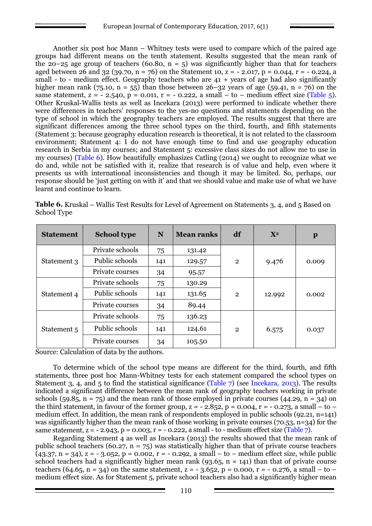Another six post hoc Mann – Whitney tests were used to compare which of the paired age groups had different means on the tenth statement. Results suggested that the mean rank of the 20–25 age group of teachers (60.80,  $n = 5$ ) was significantly higher than that for teachers aged between 26 and 32 (39.70, n = 76) on the Statement 10, z = - 2.017, p = 0.044, r = - 0.224, a small - to - medium effect. Geography teachers who are  $41 +$  years of age had also significantly higher mean rank (75.10,  $n = 55$ ) than those between 26–32 years of age (59.41,  $n = 76$ ) on the same statement,  $z = -2.540$ ,  $p = 0.011$ ,  $r = -0.222$ , a small – to – medium effect size (Table 5). Other Kruskal-Wallis tests as well as Incekara (2013) were performed to indicate whether there were differences in teachers' responses to the yes-no questions and statements depending on the type of school in which the geography teachers are employed. The results suggest that there are significant differences among the three school types on the third, fourth, and fifth statements (Statement 3: because geography education research is theoretical, it is not related to the classroom environment; Statement 4: I do not have enough time to find and use geography education research in Serbia in my courses; and Statement 5: excessive class sizes do not allow me to use in my courses) (Table 6). How beautifully emphasizes Catling (2014) we ought to recognize what we do and, while not be satisfied with it, realize that research is of value and help, even where it presents us with international inconsistencies and though it may be limited. So, perhaps, our response should be 'just getting on with it' and that we should value and make use of what we have learnt and continue to learn.

|             | Table 6. Kruskal – Wallis Test Results for Level of Agreement on Statements 3, 4, and 5 Based on |  |  |
|-------------|--------------------------------------------------------------------------------------------------|--|--|
| School Type |                                                                                                  |  |  |

| <b>Statement</b> | <b>School type</b> | N   | <b>Mean ranks</b> | df             | $X^2$  | $\mathbf{p}$ |
|------------------|--------------------|-----|-------------------|----------------|--------|--------------|
|                  | Private schools    | 75  | 131.42            |                | 9.476  |              |
| Statement 3      | Public schools     | 141 | 129.57            | $\mathbf{2}$   |        | 0.009        |
|                  | Private courses    | 34  | 95.57             |                |        |              |
|                  | Private schools    | 75  | 130.29            |                |        |              |
| Statement 4      | Public schools     | 141 | 131.65            | $\overline{2}$ | 12.992 | 0.002        |
|                  | Private courses    | 34  | 89.44             |                |        |              |
|                  | Private schools    | 75  | 136.23            |                | 6.575  | 0.037        |
| Statement 5      | Public schools     | 141 | 124.61            | $\overline{2}$ |        |              |
|                  | Private courses    | 34  | 105.50            |                |        |              |

Source: Calculation of data by the authors.

To determine which of the school type means are different for the third, fourth, and fifth statements, three post hoc Mann-Whitney tests for each statement compared the school types on Statement 3, 4, and 5 to find the statistical significance (Table 7) (see Incekara, 2013). The results indicated a significant difference between the mean rank of geography teachers working in private schools (59.85,  $n = 75$ ) and the mean rank of those employed in private courses (44.29,  $n = 34$ ) on the third statement, in favour of the former group,  $z = -2.852$ ,  $p = 0.004$ ,  $r = -0.273$ , a small – to – medium effect. In addition, the mean rank of respondents employed in public schools (92.21, n=141) was significantly higher than the mean rank of those working in private courses (70.53, n=34) for the same statement,  $z = -2.943$ ,  $p = 0.003$ ,  $r = -0.222$ , a small - to - medium effect size (Table 7).

Regarding Statement 4 as well as Incekara (2013) the results showed that the mean rank of public school teachers (60.27,  $n = 75$ ) was statistically higher than that of private course teachers  $(43.37, n = 34)$ ,  $z = -3.052$ ,  $p = 0.002$ ,  $r = -0.292$ , a small – to – medium effect size, while public school teachers had a significantly higher mean rank (93.65,  $n = 141$ ) than that of private course teachers (64.65, n = 34) on the same statement, z = - 3.652, p = 0.000, r = - 0.276, a small – to – medium effect size. As for Statement 5, private school teachers also had a significantly higher mean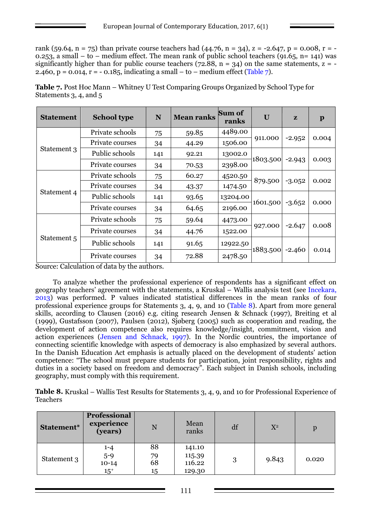rank (59.64, n = 75) than private course teachers had (44.76, n = 34), z = -2.647, p = 0.008, r = -0.253, a small – to – medium effect. The mean rank of public school teachers (91.65, n= 141) was significantly higher than for public course teachers (72.88,  $n = 34$ ) on the same statements,  $z = -$ 2.460, p = 0.014, r = - 0.185, indicating a small – to – medium effect (Table 7).

| <b>Statement</b> | <b>School type</b> | N   | <b>Mean ranks</b> | Sum of<br>ranks | U        | $\mathbf{z}$ | $\mathbf{p}$ |
|------------------|--------------------|-----|-------------------|-----------------|----------|--------------|--------------|
|                  | Private schools    | 75  | 59.85             | 4489.00         |          |              |              |
|                  | Private courses    | 34  | 44.29             | 1506.00         | 911.000  | $-2.952$     | 0.004        |
| Statement 3      | Public schools     | 141 | 92.21             | 13002.0         |          |              |              |
|                  | Private courses    | 34  | 70.53             | 2398.00         | 1803.500 | $-2.943$     | 0.003        |
|                  | Private schools    | 75  | 60.27             | 4520.50         |          | $-3.052$     |              |
|                  | Private courses    | 34  | 43.37             | 1474.50         | 879.500  |              | 0.002        |
| Statement 4      | Public schools     | 141 | 93.65             | 13204.00        |          | $-3.652$     |              |
|                  | Private courses    | 34  | 64.65             | 2196.00         | 1601.500 |              | 0.000        |
|                  | Private schools    | 75  | 59.64             | 4473.00         |          |              |              |
| Statement 5      | Private courses    | 34  | 44.76             | 1522.00         | 927.000  | $-2.647$     | 0.008        |
|                  | Public schools     | 141 | 91.65             | 12922.50        |          |              |              |
|                  | Private courses    | 34  | 72.88             | 2478.50         | 1883.500 | $-2.460$     | 0.014        |

**Table 7.** Post Hoc Mann – Whitney U Test Comparing Groups Organized by School Type for Statements 3, 4, and 5

Source: Calculation of data by the authors.

To analyze whether the professional experience of respondents has a significant effect on geography teachers' agreement with the statements, a Kruskal – Wallis analysis test (see Incekara, 2013) was performed. P values indicated statistical differences in the mean ranks of four professional experience groups for Statements 3, 4, 9, and 10 (Table 8). Apart from more general skills, according to Clausen (2016) e.g. citing research Jensen & Schnack (1997), Breiting et al (1999), Gustafsson (2007), Paulsen (2012), Sjøberg (2005) such as cooperation and reading, the development of action competence also requires knowledge/insight, commitment, vision and action experiences (Jensen and Schnack, 1997). In the Nordic countries, the importance of connecting scientific knowledge with aspects of democracy is also emphasized by several authors. In the Danish Education Act emphasis is actually placed on the development of students' action competence: "The school must prepare students for participation, joint responsibility, rights and duties in a society based on freedom and democracy". Each subject in Danish schools, including geography, must comply with this requirement.

**Table 8.** Kruskal – Wallis Test Results for Statements 3, 4, 9, and 10 for Professional Experience of Teachers

| Statement*  | Professional<br>experience<br>(years)   | N                    | Mean<br>ranks                        | df | $X^2$ | p     |
|-------------|-----------------------------------------|----------------------|--------------------------------------|----|-------|-------|
| Statement 3 | $1 - 4$<br>$5 - 9$<br>$10-14$<br>$15^+$ | 88<br>79<br>68<br>15 | 141.10<br>115.39<br>116.22<br>129.30 | 3  | 9.843 | 0.020 |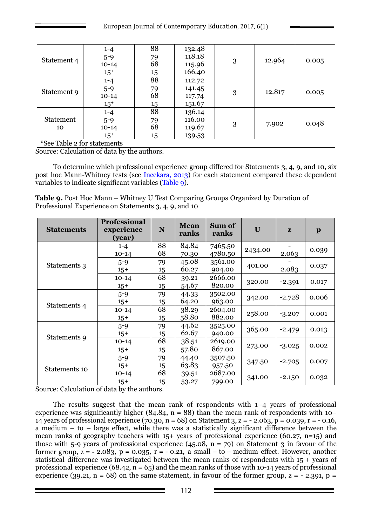|                                     | $1 - 4$  | 88 | 132.48 |   | 12.964 | 0.005 |
|-------------------------------------|----------|----|--------|---|--------|-------|
| Statement 4                         | $5 - 9$  | 79 | 118.18 |   |        |       |
|                                     | $10-14$  | 68 | 115.96 | 3 |        |       |
|                                     | $15^{+}$ | 15 | 166.40 |   |        |       |
| Statement 9                         | $1 - 4$  | 88 | 112.72 |   | 12.817 | 0.005 |
|                                     | $5 - 9$  | 79 | 141.45 |   |        |       |
|                                     | $10-14$  | 68 | 117.74 | 3 |        |       |
|                                     | $15^{+}$ | 15 | 151.67 |   |        |       |
|                                     | $1 - 4$  | 88 | 136.14 |   | 7.902  | 0.048 |
| <b>Statement</b>                    | $5 - 9$  | 79 | 116.00 |   |        |       |
| 10                                  | $10-14$  | 68 | 119.67 | 3 |        |       |
| m 1 1<br>$\mathbf{v}$<br>$\epsilon$ | $15^{+}$ | 15 | 139.53 |   |        |       |

\*See Table 2 for statements

Source: Calculation of data by the authors.

To determine which professional experience group differed for Statements 3, 4, 9, and 10, six post hoc Mann-Whitney tests (see Incekara, 2013) for each statement compared these dependent variables to indicate significant variables (Table 9).

**Table 9.** Post Hoc Mann – Whitney U Test Comparing Groups Organized by Duration of Professional Experience on Statements 3, 4, 9, and 10

| <b>Statements</b> | <b>Professional</b><br>experience<br>(year) | ${\bf N}$ | <b>Mean</b><br>ranks | Sum of<br>ranks | U       | $\mathbf{z}$ | $\mathbf{p}$ |
|-------------------|---------------------------------------------|-----------|----------------------|-----------------|---------|--------------|--------------|
|                   | $1 - 4$                                     | 88        | 84.84                | 7465.50         | 2434.00 |              | 0.039        |
|                   | $10-14$                                     | 68        | 70.30                | 4780.50         |         | 2.063        |              |
| Statements 3      | $5 - 9$                                     | 79        | 45.08                | 3561.00         | 401.00  |              | 0.037        |
|                   | $15+$                                       | 15        | 60.27                | 904.00          |         | 2.083        |              |
|                   | $10-14$                                     | 68        | 39.21                | 2666.00         | 320.00  | $-2.391$     | 0.017        |
|                   | $15+$                                       | 15        | 54.67                | 820.00          |         |              |              |
| Statements 4      | $5 - 9$                                     | 79        | 44.33                | 3502.00         | 342.00  | $-2.728$     | 0.006        |
|                   | $15+$                                       | 15        | 64.20                | 963.00          |         |              |              |
|                   | $10-14$                                     | 68        | 38.29                | 2604.00         | 258.00  | $-3.207$     | 0.001        |
|                   | $15+$                                       | 15        | 58.80                | 882.00          |         |              |              |
| Statements 9      | $5 - 9$                                     | 79        | 44.62                | 3525.00         | 365.00  | $-2.479$     | 0.013        |
|                   | $15+$                                       | 15        | 62.67                | 940.00          |         |              |              |
|                   | $10-14$                                     | 68        | 38.51                | 2619.00         |         | $-3.025$     | 0.002        |
|                   | $15+$                                       | 15        | 57.80                | 867.00          | 273.00  |              |              |
| Statements 10     | $5 - 9$                                     | 79        | 44.40                | 3507.50         |         | $-2.705$     | 0.007        |
|                   | $15+$                                       | 15        | 63.83                | 957.50          | 347.50  |              |              |
|                   | $10 - 14$                                   | 68        | 39.51                | 2687.00         | 341.00  | $-2.150$     | 0.032        |
|                   | $15+$                                       | 15        | 53.27                | 799.00          |         |              |              |

Source: Calculation of data by the authors.

The results suggest that the mean rank of respondents with  $1-4$  years of professional experience was significantly higher  $(84.84, n = 88)$  than the mean rank of respondents with 10– 14 years of professional experience (70.30, n = 68) on Statement 3, z = - 2.063, p = 0.039, r = - 0.16, a medium – to – large effect, while there was a statistically significant difference between the mean ranks of geography teachers with 15+ years of professional experience (60.27, n=15) and those with 5-9 years of professional experience  $(45.08, n = 79)$  on Statement 3 in favour of the former group,  $z = -2.083$ ,  $p = 0.035$ ,  $r = -0.21$ , a small – to – medium effect. However, another statistical difference was investigated between the mean ranks of respondents with 15 + years of professional experience (68.42,  $n = 65$ ) and the mean ranks of those with 10-14 years of professional experience (39.21,  $n = 68$ ) on the same statement, in favour of the former group,  $z = -2.391$ ,  $p =$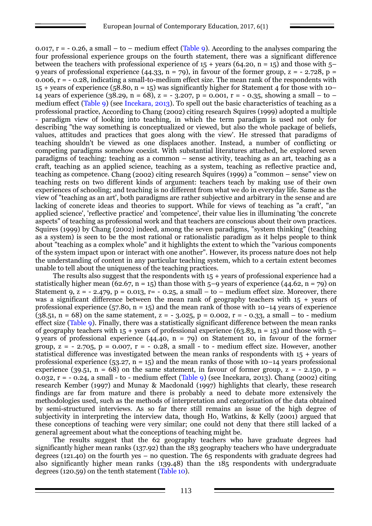0.017,  $r = -0.26$ , a small – to – medium effect (Table 9). According to the analyses comparing the four professional experience groups on the fourth statement, there was a significant difference between the teachers with professional experience of  $15 + \text{years}$  (64.20, n = 15) and those with 5– 9 years of professional experience (44.33, n = 79), in favour of the former group, z = - 2.728, p = 0.006,  $r = -0.28$ , indicating a small-to-medium effect size. The mean rank of the respondents with  $15 +$  years of experience (58.80, n = 15) was significantly higher for Statement 4 for those with 10– 14 years of experience (38.29, n = 68), z = - 3.207, p = 0.001, r = - 0.35, showing a small – to – medium effect (Table 9) (see Incekara, 2013). To spell out the basic characteristics of teaching as a professional practice, According to Chang (2002) citing research Squires (1999) adopted a multiple - paradigm view of looking into teaching, in which the term paradigm is used not only for describing "the way something is conceptualized or viewed, but also the whole package of beliefs, values, attitudes and practices that goes along with the view'. He stressed that paradigms of teaching shouldn't be viewed as one displaces another. Instead, a number of conflicting or competing paradigms somehow coexist. With substantial literatures attached, he explored seven paradigms of teaching: teaching as a common – sense activity, teaching as an art, teaching as a craft, teaching as an applied science, teaching as a system, teaching as reflective practice and, teaching as competence. Chang (2002) citing research Squires (1999) a "common – sense" view on teaching rests on two different kinds of argument: teachers teach by making use of their own experiences of schooling; and teaching is no different from what we do in everyday life. Same as the view of "teaching as an art', both paradigms are rather subjective and arbitrary in the sense and are lacking of concrete ideas and theories to support. While for views of teaching as "a craft', "an applied science', 'reflective practice' and 'competence', their value lies in illuminating 'the concrete aspects" of teaching as professional work and that teachers are conscious about their own practices. Squires (1999) by Chang (2002) indeed, among the seven paradigms, "system thinking" (teaching as a system) is seen to be the most rational or rationalistic paradigm as it helps people to think about "teaching as a complex whole" and it highlights the extent to which the "various components of the system impact upon or interact with one another". However, its process nature does not help the understanding of content in any particular teaching system, which to a certain extent becomes unable to tell about the uniqueness of the teaching practices.

The results also suggest that the respondents with 15 + years of professional experience had a statistically higher mean (62.67, n = 15) than those with  $5-9$  years of experience (44.62, n = 79) on Statement 9,  $\overline{z}$  = - 2.479, p = 0.013, r = - 0.25, a small – to – medium effect size. Moreover, there was a significant difference between the mean rank of geography teachers with 15 + years of professional experience  $(57.80, n = 15)$  and the mean rank of those with 10–14 years of experience  $(38.51, n = 68)$  on the same statement,  $z = -3.025$ ,  $p = 0.002$ ,  $r = -0.33$ , a small – to - medium effect size (Table 9). Finally, there was a statistically significant difference between the mean ranks of geography teachers with  $15 + \text{years}$  of professional experience (63.83, n = 15) and those with 5– 9 years of professional experience  $(44.40, n = 79)$  on Statement 10, in favour of the former group,  $z = -2.705$ ,  $p = 0.007$ ,  $r = -0.28$ , a small - to - medium effect size. However, another statistical difference was investigated between the mean ranks of respondents with 15 + years of professional experience  $(53.27, n = 15)$  and the mean ranks of those with 10–14 years professional experience (39.51,  $n = 68$ ) on the same statement, in favour of former group,  $z = -2.150$ ,  $p =$ 0.032,  $r = -0.24$ , a small - to - medium effect (Table 9) (see Incekara, 2013). Chang (2002) citing research Kember (1997) and Munay & Macdonald (1997) highlights that clearly, these research findings are far from mature and there is probably a need to debate more extensively the methodologies used, such as the methods of interpretation and categorization of the data obtained by semi-structured interviews. As so far there still remains an issue of the high degree of subjectivity in interpreting the interview data, though Ho, Watkins, & Kelly (2001) argued that these conceptions of teaching were very similar; one could not deny that there still lacked of a general agreement about what the conceptions of teaching might be.

The results suggest that the 62 geography teachers who have graduate degrees had significantly higher mean ranks (137.92) than the 183 geography teachers who have undergraduate degrees (121.40) on the fourth yes – no question. The  $65$  respondents with graduate degrees had also significantly higher mean ranks (139.48) than the 185 respondents with undergraduate degrees (120.59) on the tenth statement (Table 10).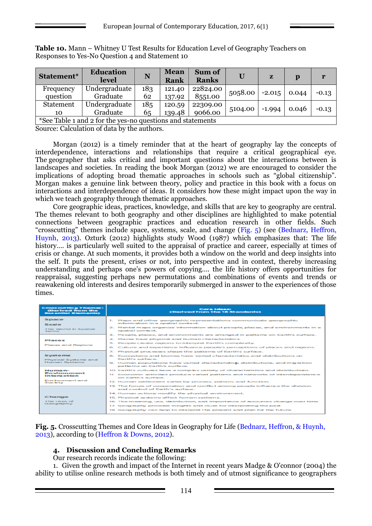| Statement*                                                 | <b>Education</b><br>level | N   | <b>Mean</b><br><b>Rank</b> | Sum of<br><b>Ranks</b> | U       | z        | p     | r       |
|------------------------------------------------------------|---------------------------|-----|----------------------------|------------------------|---------|----------|-------|---------|
| Frequency                                                  | Undergraduate             | 183 | 121.40                     | 22824.00               | 5058.00 | $-2.015$ | 0.044 | $-0.13$ |
| question                                                   | Graduate                  | 62  | 137.92                     | 8551.00                |         |          |       |         |
| <b>Statement</b>                                           | Undergraduate             | 185 | 120.59                     | 22309.00               |         |          |       |         |
| 10                                                         | Graduate                  | 65  | 139.48                     | 9066.00                | 5104.00 | $-1.994$ | 0.046 | $-0.13$ |
| *See Table 1 and 2 for the yes-no questions and statements |                           |     |                            |                        |         |          |       |         |

**Table 10.** Mann – Whitney U Test Results for Education Level of Geography Teachers on Responses to Yes-No Question 4 and Statement 10

Source: Calculation of data by the authors.

Morgan (2012) is a timely reminder that at the heart of geography lay the concepts of interdependence, interactions and relationships that require a critical geographical eye. The geographer that asks critical and important questions about the interactions between is landscapes and societies. In reading the book Morgan (2012) we are encouraged to consider the implications of adopting broad thematic approaches in schools such as "global citizenship". Morgan makes a genuine link between theory, policy and practice in this book with a focus on interactions and interdependence of ideas. It considers how these might impact upon the way in which we teach geography through thematic approaches.

Core geographic ideas, practices, knowledge, and skills that are key to geography are central. The themes relevant to both geography and other disciplines are highlighted to make potential connections between geographic practices and education research in other fields. Such "crosscutting" themes include space, systems, scale, and change (Fig. 5) (see (Bednarz, Heffron, Huynh, 2013). Ozturk (2012) highlights study Wood (1987) which emphasizes that: The life history.... is particularly well suited to the appraisal of practice and career, especially at times of crisis or change. At such moments, it provides both a window on the world and deep insights into the self. It puts the present, crises or not, into perspective and in context, thereby increasing understanding and perhaps one's powers of copying…. the life history offers opportunities for reappraisal, suggesting perhaps new permutations and combinations of events and trends or reawakening old interests and desires temporarily submerged in answer to the experiences of those times.

| <b>Cross cutting Themes:</b><br>(Derived from the<br><b>Essential Elements)</b> | <b>Core Ideas:</b><br>(Derived from the 18 Standards)                                                                                                                                                                                                                                                                                                                                                                                                          |
|---------------------------------------------------------------------------------|----------------------------------------------------------------------------------------------------------------------------------------------------------------------------------------------------------------------------------------------------------------------------------------------------------------------------------------------------------------------------------------------------------------------------------------------------------------|
| <b>Space</b><br>Scale<br>The World in Spatial<br>Terms                          | 1. Maps and other geographic representations communicate geographic<br>information in a spatial context.<br>2. Mental maps organize information about people, places, and environments in a<br>spatial context.                                                                                                                                                                                                                                                |
| <b>Places</b><br>Places and Regions                                             | 3. People, places, and environments are arranged in patterns on Earth's surface.<br>4. Places have physical and human characteristics.<br>5. People create regions to interpret Earth's complexity.<br>6. Culture and experience influence people's perceptions of places and regions.                                                                                                                                                                         |
| <b>Systems</b><br>Physical Systems and<br>Human Systems                         | 7. Physical processes shape the patterns of Earth's surface.<br>8. Ecosystems and biomes have varied characteristics and distributions on<br>Facething supplement<br>9. Human populations have varied characteristics, distributions, and migration<br>patterns on Earth's surface.                                                                                                                                                                            |
| Human-<br>Environment<br>Interaction<br>Environment and<br><b>Sociaty</b>       | 10. Earth's cultures have a complex variety of characteristics and distributions.<br>11. Economic activities produce varied patterns and networks of interdependence<br>can Factble surface.<br>12. Human settlement varies by process, pattern, and function.                                                                                                                                                                                                 |
| Change<br>The Uses of<br>Geography                                              | 13. The forces of cooperation and conflict among people influence the division<br>and control of Earth's surface.<br>14. Human actions modify the physical environment.<br>15. Physical systems affect human systems.<br>16. The meaning, use, distribution, and importance of resources change over time.<br>17. Geography provides insights and clues for interpreting the past.<br>18. Geography can help to interpret the present and plan for the future. |

**Fig. 5.** Crosscutting Themes and Core Ideas in Geography for Life (Bednarz, Heffron, & Huynh, 2013), according to (Heffron & Downs, 2012).

# **4. Discussion and Concluding Remarks**

Our research records indicate the following:

1. Given the growth and impact of the Internet in recent years Madge & O'connor (2004) the ability to utilise online research methods is both timely and of utmost significance to geographers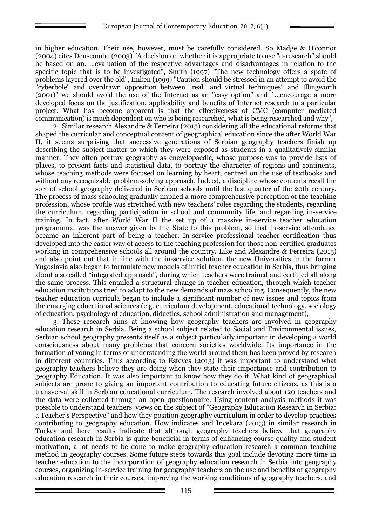in higher education. Their use, however, must be carefully considered. So Madge & O'connor (2004) cites Denscombe (2003) "A decision on whether it is appropriate to use "e-research" should be based on an. …evaluation of the respective advantages and disadvantages in relation to the specific topic that is to be investigated", Smith (1997) "The new technology offers a spate of problems layered over the old", Imken (1999) "Caution should be stressed in an attempt to avoid the "cyberbole" and overdrawn opposition between "real" and virtual techniques" and Illingworth (2001)" we should avoid the use of the Internet as an "easy option" and `…encourage a more developed focus on the justification, applicability and benefits of Internet research to a particular project. What has become apparent is that the effectiveness of CMC (computer mediated communication) is much dependent on who is being researched, what is being researched and why",

2. Similar research Alexandre & Ferreira (2015) considering all the educational reforms that shaped the curricular and conceptual content of geographical education since the after World War II, it seems surprising that successive generations of Serbian geography teachers finish up describing the subject matter to which they were exposed as students in a qualitatively similar manner. They often portray geography as encyclopaedic, whose purpose was to provide lists of places, to present facts and statistical data, to portray the character of regions and continents, whose teaching methods were focused on learning by heart, centred on the use of textbooks and without any recognizable problem-solving approach. Indeed, a discipline whose contents recall the sort of school geography delivered in Serbian schools until the last quarter of the 20th century. The process of mass schooling gradually implied a more comprehensive perception of the teaching profession, whose profile was stretched with new teachers' roles regarding the students, regarding the curriculum, regarding participation in school and community life, and regarding in-service training. In fact, after World War II the set up of a massive in-service teacher education programmed was the answer given by the State to this problem, so that in-service attendance became an inherent part of being a teacher. In-service professional teacher certification thus developed into the easier way of access to the teaching profession for those non-certified graduates working in comprehensive schools all around the country. Like and Alexandre & Ferreira (2015) and also point out that in line with the in-service solution, the new Universities in the former Yugoslavia also began to formulate new models of initial teacher education in Serbia, thus bringing about a so called "integrated approach", during which teachers were trained and certified all along the same process. This entailed a structural change in teacher education, through which teacher education institutions tried to adapt to the new demands of mass schooling. Consequently, the new teacher education curricula began to include a significant number of new issues and topics from the emerging educational sciences (e.g. curriculum development, educational technology, sociology of education, psychology of education, didactics, school administration and management),

3. These research aims at knowing how geography teachers are involved in geography education research in Serbia. Being a school subject related to Social and Environmental issues, Serbian school geography presents itself as a subject particularly important in developing a world consciousness about many problems that concern societies worldwide. Its importance in the formation of young in terms of understanding the world around them has been proved by research in different countries. Thus according to Esteves (2013) it was important to understand what geography teachers believe they are doing when they state their importance and contribution to geography Education. It was also important to know how they do it. What kind of geographical subjects are prone to giving an important contribution to educating future citizens, as this is a transversal skill in Serbian educational curriculum. The research involved about 120 teachers and the data were collected through an open questionnaire. Using content analysis methods it was possible to understand teachers' views on the subject of "Geography Education Research in Serbia: a Teacher's Perspective" and how they position geography curriculum in order to develop practices contributing to geography education. How indicates and Incekara (2013) in similar research in Turkey and here results indicate that although geography teachers believe that geography education research in Serbia is quite beneficial in terms of enhancing course quality and student motivation, a lot needs to be done to make geography education research a common teaching method in geography courses. Some future steps towards this goal include devoting more time in teacher education to the incorporation of geography education research in Serbia into geography courses, organizing in-service training for geography teachers on the use and benefits of geography education research in their courses, improving the working conditions of geography teachers, and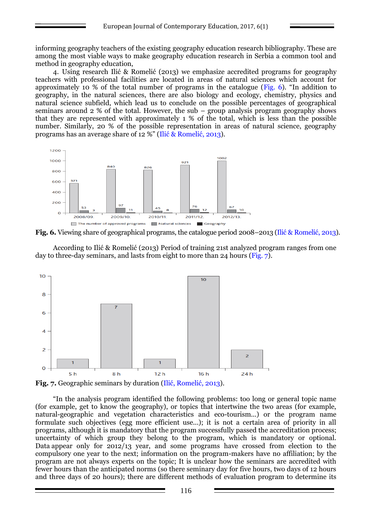informing geography teachers of the existing geography education research bibliography. These are among the most viable ways to make geography education research in Serbia a common tool and method in geography education,

4. Using research Ilić & Romelić (2013) we emphasize accredited programs for geography teachers with professional facilities are located in areas of natural sciences which account for approximately 10 % of the total number of programs in the catalogue (Fig. 6). "In addition to geography, in the natural sciences, there are also biology and ecology, chemistry, physics and natural science subfield, which lead us to conclude on the possible percentages of geographical seminars around 2 % of the total. However, the sub – group analysis program geography shows that they are represented with approximately 1 % of the total, which is less than the possible number. Similarly, 20 % of the possible representation in areas of natural science, geography programs has an average share of 12 %" (Ilić & Romelić, 2013).



**Fig. 6.** Viewing share of geographical programs, the catalogue period 2008–2013 (Ilić & Romelić, 2013).

According to Ilić & Romelić (2013) Period of training 21st analyzed program ranges from one day to three-day seminars, and lasts from eight to more than 24 hours (Fig. 7).



"In the analysis program identified the following problems: too long or general topic name (for example, get to know the geography), or topics that intertwine the two areas (for example, natural-geographic and vegetation characteristics and eco-tourism...) or the program name formulate such objectives (egg more efficient use...); it is not a certain area of priority in all programs, although it is mandatory that the program successfully passed the accreditation process; uncertainty of which group they belong to the program, which is mandatory or optional. Data appear only for 2012/13 year, and some programs have crossed from election to the compulsory one year to the next; information on the program-makers have no affiliation; by the program are not always experts on the topic; It is unclear how the seminars are accredited with fewer hours than the anticipated norms (so there seminary day for five hours, two days of 12 hours and three days of 20 hours); there are different methods of evaluation program to determine its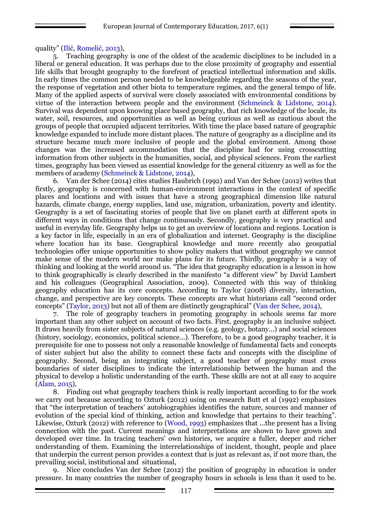quality" (Ilić, Romelić, 2013),

5. Teaching geography is one of the oldest of the academic disciplines to be included in a liberal or general education. It was perhaps due to the close proximity of geography and essential life skills that brought geography to the forefront of practical intellectual information and skills. In early times the common person needed to be knowledgeable regarding the seasons of the year, the response of vegetation and other biota to temperature regimes, and the general tempo of life. Many of the applied aspects of survival were closely associated with environmental conditions by virtue of the interaction between people and the environment (Schmeinck & Lidstone, 2014). Survival was dependent upon knowing place based geography, that rich knowledge of the locale, its water, soil, resources, and opportunities as well as being curious as well as cautious about the groups of people that occupied adjacent territories. With time the place based nature of geographic knowledge expanded to include more distant places. The nature of geography as a discipline and its structure became much more inclusive of people and the global environment. Among those changes was the increased accommodation that the discipline had for using crosscutting information from other subjects in the humanities, social, and physical sciences. From the earliest times, geography has been viewed as essential knowledge for the general citizenry as well as for the members of academy (Schmeinck & Lidstone, 2014),

6. Van der Schee (2014) cites studies Haubrich (1992) and Van der Schee (2012) writes that firstly, geography is concerned with human-environment interactions in the context of specific places and locations and with issues that have a strong geographical dimension like natural hazards, climate change, energy supplies, land use, migration, urbanization, poverty and identity. Geography is a set of fascinating stories of people that live on planet earth at different spots in different ways in conditions that change continuously. Secondly, geography is very practical and useful in everyday life. Geography helps us to get an overview of locations and regions. Location is a key factor in life, especially in an era of globalization and internet. Geography is the discipline where location has its base. Geographical knowledge and more recently also geospatial technologies offer unique opportunities to show policy makers that without geography we cannot make sense of the modern world nor make plans for its future. Thirdly, geography is a way of thinking and looking at the world around us. "The idea that geography education is a lesson in how to think geographically is clearly described in the manifesto "a different view" by David Lambert and his colleagues (Geographical Association, 2009). Connected with this way of thinking geography education has its core concepts. According to Taylor (2008) diversity, interaction, change, and perspective are key concepts. These concepts are what historians call "second order concepts" (Taylor, 2013) but not all of them are distinctly geographical" (Van der Schee, 2014),

7. The role of geography teachers in promoting geography in schools seems far more important than any other subject on account of two facts. First, geography is an inclusive subject. It draws heavily from sister subjects of natural sciences (e.g. geology, botany...) and social sciences (history, sociology, economics, political science...). Therefore, to be a good geography teacher, it is prerequisite for one to possess not only a reasonable knowledge of fundamental facts and concepts of sister subject but also the ability to connect these facts and concepts with the discipline of geography. Second, being an integrating subject, a good teacher of geography must cross boundaries of sister disciplines to indicate the interrelationship between the human and the physical to develop a holistic understanding of the earth. These skills are not at all easy to acquire (Alam, 2015),

8. Finding out what geography teachers think is really important according to for the work we carry out because according to Ozturk (2012) using on research Butt et al (1992) emphasizes that "the interpretation of teachers' autobiographies identifies the nature, sources and manner of evolution of the special kind of thinking, action and knowledge that pertains to their teaching". Likewise, Ozturk (2012) with reference to (Wood, 1993) emphasizes that ...the present has a living connection with the past. Current meanings and interpretations are shown to have grown and developed over time. In tracing teachers' own histories, we acquire a fuller, deeper and richer understanding of them. Examining the interrelationships of incident, thought, people and place that underpin the current person provides a context that is just as relevant as, if not more than, the prevailing social, institutional and situational,

9. Nice concludes Van der Schee (2012) the position of geography in education is under pressure. In many countries the number of geography hours in schools is less than it used to be.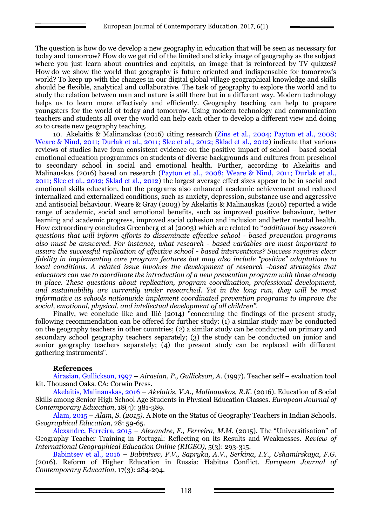The question is how do we develop a new geography in education that will be seen as necessary for today and tomorrow? How do we get rid of the limited and sticky image of geography as the subject where you just learn about countries and capitals, an image that is reinforced by TV quizzes? How do we show the world that geography is future oriented and indispensable for tomorrow's world? To keep up with the changes in our digital global village geographical knowledge and skills should be flexible, analytical and collaborative. The task of geography to explore the world and to study the relation between man and nature is still there but in a different way. Modern technology helps us to learn more effectively and efficiently. Geography teaching can help to prepare youngsters for the world of today and tomorrow. Using modern technology and communication teachers and students all over the world can help each other to develop a different view and doing so to create new geography teaching.

10. Akelaitis & Malinauskas (2016) citing research (Zins et al., 2004; Payton et al., 2008; Weare & Nind, 2011; Durlak et al., 2011; Slee et al., 2012; Sklad et al., 2012) indicate that various reviews of studies have foun consistent evidence on the positive impact of school – based social emotional education programmes on students of diverse backgrounds and cultures from preschool to secondary school in social and emotional health. Further, according to Akelaitis and Malinauskas (2016) based on research (Payton et al., 2008; Weare & Nind, 2011; Durlak et al., 2011; Slee et al., 2012; Sklad et al., 2012) the largest average effect sizes appear to be in social and emotional skills education, but the programs also enhanced academic achievement and reduced internalized and externalized conditions, such as anxiety, depression, substance use and aggressive and antisocial behaviour. Weare & Gray (2003) by Akelaitis & Malinauskas (2016) reported a wide range of academic, social and emotional benefits, such as improved positive behaviour, better learning and academic progress, improved social cohesion and inclusion and better mental health. How extraordinary concludes Greenberg et al (2003) which are related to "*additional key research questions that will inform efforts to disseminate effective school - based prevention programs also must be answered. For instance, what research - based variables are most important to assure the successful replication of effective school - based interventions? Success requires clear fidelity in implementing core program features but may also include "positive" adaptations to local conditions. A related issue involves the development of research -based strategies that educators can use to coordinate the introduction of a new prevention program with those already in place. These questions about replication, program coordination, professional development, and sustainability are currently under researched. Yet in the long run, they will be most informative as schools nationwide implement coordinated prevention programs to improve the social, emotional, physical, and intellectual development of all children".*

Finally, we conclude like and Ilić (2014) "concerning the findings of the present study, following recommendation can be offered for further study: (1) a similar study may be conducted on the geography teachers in other countries; (2) a similar study can be conducted on primary and secondary school geography teachers separately; (3) the study can be conducted on junior and senior geography teachers separately; (4) the present study can be replaced with different gathering instruments".

### **References**

Airasian, Gullickson, 1997 – *Airasian, P., Gullickson, A.* (1997). Teacher self – evaluation tool kit. Thousand Oaks. CA: Corwin Press.

Akelaitis, Malinauskas, 2016 – *Akelaitis, V.A., Malinauskas, R.K.* (2016). Education of Social Skills among Senior High School Age Students in Physical Education Classes. *European Journal of Contemporary Education*, 18(4): 381-389.

Alam, 2015 – *Alam, S. (2015).* A Note on the Status of Geography Teachers in Indian Schools. *Geographical Education*, 28: 59-65.

Alexandre, Ferreira, 2015 – *Alexandre, F., Ferreira, M.M.* (2015). The "Universitisation" of Geography Teacher Training in Portugal: Reflecting on its Results and Weaknesses. *Review of International Geographical Education Online (RIGEO),* 5(3): 293-315.

Babintsev et al., 2016 – *Babintsev, P.V., Sapryka, A.V., Serkina, I.Y., Ushamirskaya, F.G.* (2016). Reform of Higher Education in Russia: Habitus Conflict. *European Journal of Contemporary Education,* 17(3): 284-294.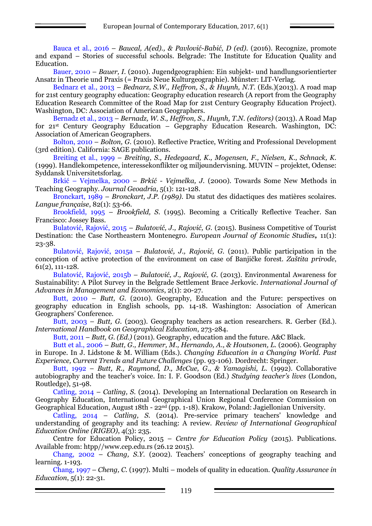Bauca et al., 2016 – *Baucal, A(ed)., & Pavlović-Babić, D (ed).* (2016). Recognize, promote and expand – Stories of successful schools. Belgrade: The Institute for Education Quality and Education.

Bauer, 2010 – *Bauer, I.* (2010). Jugendgeographien: Ein subjekt- und handlungsorientierter Ansatz in Theorie und Praxis (= Praxis Neue Kulturgeographie). Münster: LIT-Verlag.

Bednarz et al., 2013 – *Bednarz, S.W., Heffron, S., & Huynh, N.T.* (Eds.)(2013). A road map for 21st century geography education: Geography education research (A report from the Geography Education Research Committee of the Road Map for 21st Century Geography Education Project). Washington, DC: Association of American Geographers.

Bernadz et al., 2013 – *Bernadz, W. S., Heffron, S., Huynh, T.N. (editors)* (2013). A Road Map for 21st Century Geography Education – Gepgraphy Education Research. Washington, DC: Association of American Geographers.

Bolton, 2010 – *Bolton, G.* (2010). Reflective Practice, Writing and Professional Development (3rd edition). California: SAGE publications.

Breiting et al., 1999 – *Breiting, S., Hedegaard, K., Mogensen, F., Nielsen, K., Schnack, K.*  (1999). Handlekompetence, interessekonflikter og miljøundervisning. MUVIN – projektet, Odense: Syddansk Universitetsforlag.

Brkić – Vejmelka, 2000 – *Brkić - Vejmelka, J.* (2000). Towards Some New Methods in Teaching Geography. *Journal Geoadria,* 5(1): 121-128.

Bronckart, 1989 – *Bronckart, J.P. (1989).* Du statut des didactiques des matières scolaires. *Langue française*, 82(1): 53-66.

Brookfield, 1995 – *Brookfield, S.* (1995). Becoming a Critically Reflective Teacher. San Francisco: Jossey Bass.

Bulatović, Rajović, 2015 – *Bulatović, J., Rajović, G.* (2015). Business Competitive of Tourist Destination: the Case Northeastern Montenegro. *European Journal of Economic Studies,* 11(1): 23-38.

Bulatović, Rajović, 2015a – *Bulatović, J., Rajović, G.* (2011). Public participation in the conception of active protection of the environment on case of Banjičke forest. *Zaštita prirode*, 61(2), 111-128.

Bulatović, Rajović, 2015b – *Bulatović, J., Rajović, G.* (2013). Environmental Awareness for Sustainability: A Pilot Survey in the Belgrade Settlement Brace Jerkovic. *International Journal of Advances in Management and Economics*, 2(1): 20-27.

Butt, 2010 - Butt, G. (2010). Geography, Education and the Future: perspectives on geography education in English schools, pp. 14-18. Washington: Association of American Geographers' Conference.

Butt, 2003 – *Butt, G.* (2003)*.* Geography teachers as action researchers. R. Gerber (Ed.). *International Handbook on Geographical Education*, 273-284.

Butt, 2011 – *Butt, G. (Ed.)* (2011). Geography, education and the future. A&C Black.

Butt et al., 2006 – *Butt, G., Hemmer, M., Hernando, A., & Houtsonen, L.* (2006). Geography in Europe. In J. Lidstone & M. William (Eds.). *Changing Education in a Changing World. Past Experience, Current Trends and Future Challenges* (pp. 93-106). Dordrecht: Springer.

Butt, 1992 – *Butt, R., Raymond, D., McCue, G., & Yamagishi, L.* (1992). Collaborative autobiography and the teacher's voice. In: I. F. Goodson (Ed.) *Studying teacher's lives* (London, Routledge), 51-98.

Catling, 2014 – *Catling, S.* (2014). Developing an International Declaration on Research in Geography Education, International Geographical Union Regional Conference Commission on Geographical Education, August 18th - 22<sup>nd</sup> (pp. 1-18). Krakow, Poland: Jagiellonian University.

Catling, 2014 – *Catling, S.* (2014). Pre-service primary teachers' knowledge and understanding of geography and its teaching: A review. *Review of International Geographical Education Online (RIGEO)*, 4(3): 235.

Centre for Education Policy, 2015 – *Centre for Education Policy* (2015). Publications. Available from: htpp//www.cep.edu.rs (26.12 2015).

Chang, 2002 – *Chang, S.Y.* (2002). Teachers' conceptions of geography teaching and learning. 1-193.

Chang, 1997 – *Cheng, C.* (1997). Multi – models of quality in education. *Quality Assurance in Education*, 5(1): 22-31.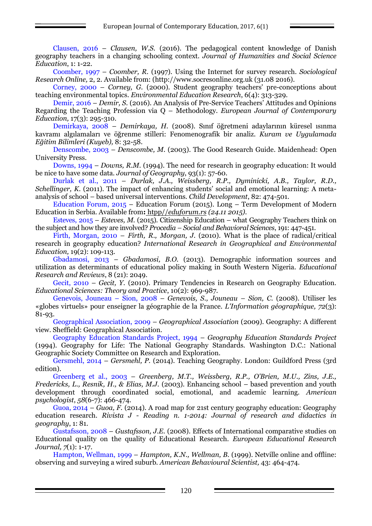Clausen, 2016 – *Clausen, W.S.* (2016). The pedagogical content knowledge of Danish geography teachers in a changing schooling context. *Journal of Humanities and Social Science Education*, 1: 1-22.

Coomber, 1997 – *Coomber, R.* (1997)*.* Using the Internet for survey research. *Sociological Research Online,* 2, 2. Available from: [\(http://www.socresonline.org.uk](http://www.socresonline.org.uk/) (31.08 2016).

Corney, 2000 – *Corney, G.* (2000)*.* Student geography teachers' pre-conceptions about teaching environmental topics. *Environmental Education Research*, 6(4): 313-329.

Demir, 2016 – *Demir, S.* (2016). An Analysis of Pre-Service Teachers' Attitudes and Opinions Regarding the Teaching Profession via Q – Methodology. *European Journal of Contemporary Education,* 17(3): 295-310.

Demirkaya, 2008 – *Demirkaya, H.* (2008). Sınıf öğretmeni adaylarının küresel ısınma kavramı algılamaları ve öğrenme stilleri: Fenomenografik bir analiz. *Kuram ve Uygulamada Eğitim Bilimleri (Kuyeb),* 8: 32-58.

Denscombe, 2003 – *Denscombe, M.* (2003). The Good Research Guide. Maidenhead: Open University Press.

Downs, 1994 – *Downs, R.M.* (1994). The need for research in geography education: It would be nice to have some data. *Journal of Geography*, 93(1): 57-60.

Durlak et al., 2011 – *Durlak, J.A., Weissberg, R.P., Dyminicki, A.B., Taylor, R.D., Schellinger, K.* (2011). The impact of enhancing students' social and emotional learning: A metaanalysis of school – based universal interventions. *Child Development*, 82: 474-501.

Education Forum, 2015 – Education Forum (2015)*.* Long – Term Development of Modern Education in Serbia. Available from**:** htpp//*eduforum.rs (24.11 2015).*

Esteves, 2015 – *Esteves, M.* (2015)*.* Citizenship Education – what Geography Teachers think on the subject and how they are involved? *Procedia – Social and Behavioral Sciences*, 191: 447-451.

Firth, Morgan, 2010 – *Firth, R., Morgan, J.* (2010). What is the place of radical/critical research in geography education? *International Research in Geographical and Environmental Education,* 19(2): 109-113.

Gbadamosi, 2013 – *Gbadamosi, B.O.* (2013). Demographic information sources and utilization as determinants of educational policy making in South Western Nigeria. *Educational Research and Reviews*, 8 (21): 2049.

Gecit, 2010 – *Gecit, Y.* (2010). Primary Tendencies in Research on Geography Education. *Educational Sciences: Theory and Practice*, 10(2): 969-987.

Genevois, Jouneau – Sion, 2008 – *Genevois, S., Jouneau – Sion, C.* (2008). Utiliser les «globes virtuels» pour enseigner la géographie de la France. *L'Information géographique, 72*(3): 81-93.

Geographical Association, 2009 – *Geographical Association* (2009). Geography: A different view. Sheffield: Geographical Association.

Geography Education Standards Project, 1994 – *Geography Education Standards Project*  (1994). Geography for Life: The National Geography Standards. Washington D.C.: National Geographic Society Committee on Research and Exploration.

Gersmehl, 2014 – *Gersmehl, P.* (2014). Teaching Geography. London: Guildford Press (3rd edition).

Greenberg et al., 2003 – *Greenberg, M.T., Weissberg, R.P., O'Brien, M.U., Zins, J.E., Fredericks, L., Resnik, H., & Elias, M.J.* (2003). Enhancing school – based prevention and youth development through coordinated social, emotional, and academic learning. *American psychologist*, *58*(6-7): 466-474.

Guoa, 2014 – *Guoa, F.* (2014). A road map for 21st century geography education: Geography education research. *Rivista J - Reading n. 1-2014: Journal of research and didactics in geography*, 1: 81.

Gustafsson, 2008 – *Gustafsson, J.E.* (2008). Effects of International comparative studies on Educational quality on the quality of Educational Research. *European Educational Research Journal, 7*(1): 1-17.

Hampton, Wellman, 1999 – *Hampton, K.N., Wellman, B.* (1999). Netville online and offline: observing and surveying a wired suburb. *American Behavioural Scientist,* 43: 464-474.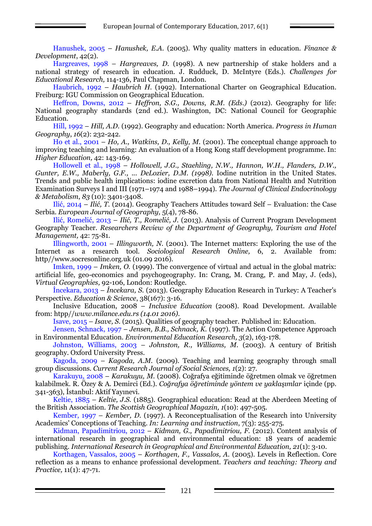Hanushek, 2005 – *Hanushek, E.A.* (2005). Why quality matters in education. *Finance & Development*, 42(2).

Hargreaves, 1998 – *Hargreaves, D.* (1998). A new partnership of stake holders and a national strategy of research in education. J. Rudduck, D. McIntyre (Eds.). *Challenges for Educational Research,* 114-136, Paul Chapman, London.

Haubrich, 1992 – *Haubrich H.* (1992). International Charter on Geographical Education. Freiburg: IGU Commission on Geographical Education.

Heffron, Downs, 2012 – *Heffron, S.G., Downs, R.M. (Eds.)* (2012). Geography for life: National geography standards (2nd ed.). Washington, DC: National Council for Geographic Education.

Hill, 1992 – *Hill, A.D.* (1992). Geography and education: North America. *Progress in Human Geography*, *16*(2): 232-242.

Ho et al., 2001 – *Ho, A., Watkins, D., Kelly, M.* (2001). The conceptual change approach to improving teaching and learning: An evaluation of a Hong Kong staff development programme. In: *Higher Education,* 42: 143-169.

Hollowell et al., 1998 – *Hollowell, J.G., Staehling, N.W., Hannon, W.H., Flanders, D.W., Gunter, E.W., Maberly, G.F., ... DeLozier, D.M. (1998).* Iodine nutrition in the United States. Trends and public health implications: iodine excretion data from National Health and Nutrition Examination Surveys I and III (1971–1974 and 1988–1994). *The Journal of Clinical Endocrinology & Metabolism*, *83* (10): 3401-3408.

Ilić, 2014 – *Ilić, T.* (2014). Geography Teachers Attitudes toward Self – Evaluation: the Case Serbia. *European Journal of Geography,* 5(4), 78-86.

Ilić, Romelić, 2013 *– Ilić, T., Romelić, J.* (2013). Analysis of Current Program Development Geography Teacher. *Researchers Review of the Department of Geography, Tourism and Hotel Management,* 42: 75-81.

Illingworth, 2001 – *Illingworth, N.* (2001). The Internet matters: Exploring the use of the Internet as a research tool. *Sociological Research Online,* 6, 2. Available from: http//www.socresonline.org.uk (01.09 2016).

Imken, 1999 – *Imken, O.* (1999). The convergence of virtual and actual in the global matrix: artificial life, geo-economics and psychogeography. In: Crang, M. Crang, P. and May, J. (eds), *Virtual Geographies,* 92-106, London: Routledge.

İncekara, 2013 – *İncekara, S.* (2013). Geography Education Research in Turkey: A Teacher's Perspective. *Education & Science*, 38(167): 3-16.

Inclusive Education, 2008 – *Inclusive Education* (2008). Road Development. Available from: htpp//*www.milance.edu.rs (14.01 2016).*

Isave, 2015 *– Isave, S.* (2015). Qualities of geography teacher. Published in: Education.

Jensen, Schnack, 1997 – *Jensen, B.B., Schnack, K.* (1997). The Action Competence Approach in Environmental Education. *Environmental Education Research, 3*(2), 163-178.

Johnston, Williams, 2003 – *Johnston, R., Williams, M.* (2003). A century of British geography. Oxford University Press.

Kagoda, 2009 – *Kagoda, A.M.* (2009). Teaching and learning geography through small group discussions. *Current Research Journal of Social Sciences, 1*(2): 27.

Karakuyu, 2008 – *Karakuyu, M.* (2008). Coğrafya eğitiminde öğretmen olmak ve öğretmen kalabilmek. R. Özey & A. Demirci (Ed.). *Coğrafya öğretiminde yöntem ve yaklaşımlar* içinde (pp. 341-363), İstanbul: Aktif Yayınevi.

Keltie, 1885 *– Keltie, J.S.* (1885). Geographical education: Read at the Aberdeen Meeting of the British Association. *The Scottish Geographical Magazin, 1*(10): 497-505.

Kember, 1997 *– Kember, D.* (1997). A Reconceptualisation of the Research into University Academics' Conceptions of Teaching. *In: Learning and instruction*, 7(3): 255-275.

Kidman, Papadimitriou, 2012 – *Kidman, G., Papadimitriou, F.* (2012). Content analysis of international research in geographical and environmental education: 18 years of academic publishing. *International Research in Geographical and Environmental Education, 21*(1): 3-10.

Korthagen, Vassalos, 2005 – *Korthagen, F., Vassalos, A.* (2005). Levels in Reflection. Core reflection as a means to enhance professional development. *Teachers and teaching: Theory and Practice,* 11(1): 47-71.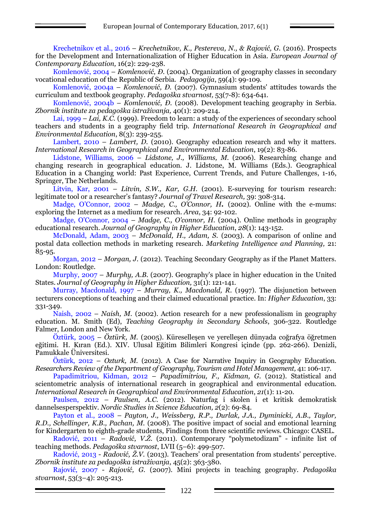Krechetnikov et al., 2016 – *Krechetnikov, K., Pestereva, N., & Rajović, G.* (2016). Prospects for the Development and Internationalization of Higher Education in Asia. *European Journal of Contemporary Education,* 16(2): 229-238.

Komlenović, 2004 – *Komlenović, Đ.* (2004). Organization of geography classes in secondary vocational education of the Republic of Serbia. *Pedagogija*, 59(4): 99-109.

Кomlenović, 2004a – *Кomlenović, Đ.* (2007). Gymnasium students' attitudes towards the curriculum and textbook geography. *Pedagoška stvarnost,* 53(7-8): 634-641.

Кomlenović, 2004b – *Кomlenović, Đ.* (2008)*.* Development teaching geography in Serbia. *Zbornik institute za pedagoška istraživanja,* 40(1): 209-214.

Lai, 1999 – *Lai, K.C.* (1999)*.* Freedom to learn: a study of the experiences of secondary school teachers and students in a geography field trip. *International Research in Geographical and Environmental Education*, 8(3): 239-255.

Lambert, 2010 – *Lambert*, *D.* (2010). Geography education research and why it matters. *International Research in Geographical and Environmental Education*, 19(2): 83-86.

Lidstone, Williams, 2006 – *Lidstone, J., Williams, M.* (2006). Researching change and changing research in geographical education. J. Lidstone, M. Williams (Eds.). Geographical Education in a Changing world: Past Experience, Current Trends, and Future Challenges, 1-16, Springer, The Netherlands.

Litvin, Kar, 2001 – *Litvin, S.W., Kar, G.H.* (2001). E-surveying for tourism research: legitimate tool or a researcher's fantasy? *Journal of Travel Research,* 39: 308-314.

Madge, O'Connor, 2002 – *Madge, C., O'Connor, H.* (2002). Online with the e-mums: exploring the Internet as a medium for research. *Area*, 34: 92-102.

Madge, O'Connor, 2004 – *Madge, C., O'connor, H.* (2004)*.* Online methods in geography educational research. *Journal of Geography in Higher Education*, *28*(1): 143-152.

McDonald, Adam, 2003 – *McDonald, H., Adam, S.* (2003). A comparison of online and postal data collection methods in marketing research. *Marketing Intelligence and Planning,* 21: 85-95.

Morgan, 2012 – *Morgan, J.* (2012). Teaching Secondary Geography as if the Planet Matters. London: Routledge.

Murphy, 2007 – *Murphy, A.B.* (2007). Geography's place in higher education in the United States. *Journal of Geography in Higher Education,* 31(1): 121-141.

Murray, Macdonald, 1997 – *Murray, K., Macdonald, R.* (1997). The disjunction between 1ecturers conceptions of teaching and their claimed educational practice. In: *Higher Education*, 33: 331-349.

Naish, 2002 – *Naish, M.* (2002). Action research for a new professionalism in geography education. M. Smith (Ed), *Teaching Geography in Secondary Schools*, 306-322. Routledge Falmer, London and New York.

Öztürk, 2005 – *Öztürk, M.* (2005). Küreselleşen ve yerelleşen dünyada coğrafya öğretmen eğitimi. H. Kıran (Ed.). XIV. Ulusal Eğitim Bilimleri Kongresi içinde (pp. 262-266). Denizli, Pamukkale Üniversitesi.

Öztürk, 2012 – *Ozturk, M.* (2012). A Case for Narrative Inquiry in Geography Education. *Researchers Review of the Department of Geography, Tourism and Hotel Management,* 41: 106-117.

Papadimitriou, Kidman, 2012 – *Papadimitriou, F., Kidman, G.* (2012). Statistical and scientometric analysis of international research in geographical and environmental education. *International Research in Geographical and Environmental Education*, *21*(1): 11-20.

Paulsen, 2012 – *Paulsen, A.C.* (2012). Naturfag i skolen i et kritisk demokratisk dannelsesperspektiv. *Nordic Studies in Science Education, 2*(2): 69-84.

Payton et al., 2008 – *Payton, J., Weissberg, R.P., Durlak, J.A., Dyminicki, A.B., Taylor, R.D., Schellinger, K.B., Pachan, M.* (2008). The positive impact of social and emotional learning for Kindergarten to eighth-grade students, Findings from three scientific reviews. Chicago: CASEL.

Radović, 2011 – *Radović, V.Ž.* (2011)*.* Contemporary "polymetodizam" - infinite list of teaching methods. *Pedagoška stvarnost*, LVII (5–6): 499-507.

Radović, 2013 - *Radović, Ž.V.* (2013)*.* Teachers' oral presentation from students' perceptive. *Zbornik institute za pedagoška istraživanja*, 45(2): 363-380.

Rajović, 2007 - *Rajović, G.* (2007). Mini projects in teaching geography. *Pedagoška stvarnost*, 53(3–4): 205-213.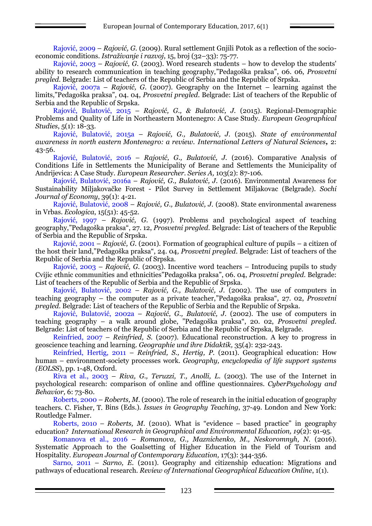Rajović, 2009 – *Rajović, G.* (2009). Rural settlement Gnjili Potok as a reflection of the socioeconomic conditions. *Istraživanje i razvoj*, 15, broj (32–33): 75-77.

Rajović, 2003 – *Rajović, G.* (2003). Word research students – how to develop the students' ability to research communication in teaching geography,"Pedagoška praksa", 06. 06, *Prosvetni pregled*. Belgrade: List of teachers of the Republic of Serbia and the Republic of Srpska.

Rajović, 2007a – *Rajović, G.* (2007). Geography on the Internet – learning against the limits,"Pedagoška praksa", 04. 04*, Prosvetni pregled*. Belgrade: List of teachers of the Republic of Serbia and the Republic of Srpska.

Rajović, Bulatović, 2015 – *Rajović, G., & Bulatović, J.* (2015). Regional-Demographic Problems and Quality of Life in Northeastern Montenegro: A Case Study. *European Geographical Studies*, 5(1): 18-33.

Rajović, Bulatović, 2015a – *Rajović, G., Bulatović, J.* (2015). *State of environmental awareness in north eastern Montenegro: a review. International Letters of Natural Sciences,* 2: 43-56.

Rajović, Bulatović, 2016 – *Rajović, G., Bulatović, J.* (2016). Comparative Analysis of Conditions Life in Settlements the Municipality of Berane and Settlements the Municipality of Andrijevica: A Case Study. *European Researcher. Series A,* 103(2): 87-106.

Rajović, Bulatović, 2016a – *Rajović, G., Bulatović, J.* (2016). Environmental Awareness for Sustainability Miljakovačke Forest - Pilot Survey in Settlement Miljakovac (Belgrade). *Sochi Journal of Economy*, 39(1): 4-21.

Rajović, Bulatović, 2008 – *Rajović, G., Bulatović, J.* (2008). State environmental awareness in Vrbas. *Ecologica*, 15(51): 45-52.

Rajović, 1997 – *Rajović, G.* (1997). Problems and psychological aspect of teaching geography,"Pedagoška praksa", 27. 12, *Prosvetni pregled*. Belgrade: List of teachers of the Republic of Serbia and the Republic of Srpska.

Rajović, 2001 – *Rajović, G.* (2001). Formation of geographical culture of pupils – a citizen of the host their land,"Pedagoška praksa", 24. 04*, Prosvetni pregled*. Belgrade: List of teachers of the Republic of Serbia and the Republic of Srpska.

Rajović, 2003 – *Rajović, G.* (2003). Incentive word teachers – Introducing pupils to study Cvijic ethnic communities and ethnicities"Pedagoška praksa", 06. 04, *Prosvetni pregled*. Belgrade: List of teachers of the Republic of Serbia and the Republic of Srpska.

Rajović, Bulatović, 2002 – *Rajović, G., Bulatović, J.* (2002). The use of computers in teaching geography – the computer as a private teacher,"Pedagoška praksa", 27. 02, *Prosvetni pregled*. Belgrade: List of teachers of the Republic of Serbia and the Republic of Srpska.

Rajović, Bulatović, 2002a – *Rajović, G., Bulatović, J.* (2002). The use of computers in teaching geography – a walk around globe, "Pedagoška praksa", 20. 02, *Prosvetni pregled*. Belgrade: List of teachers of the Republic of Serbia and the Republic of Srpska, Belgrade.

Reinfried, 2007 – *Reinfried, S.* (2007). Educational reconstruction. A key to progress in geoscience teaching and learning. *Geographie und ihre Didaktik,* 35(4): 232-243.

Reinfried, Hertig, 2011 – *Reinfried, S., Hertig, P.* (2011). Geographical education: How human – environment-society processes work. *Geography, encyclopedia of life support systems (EOLSS*), pp. 1-48, Oxford.

Riva et al., 2003 – *Riva, G., Teruzzi, T., Anolli, L.* (2003). The use of the Internet in psychological research: comparison of online and offline questionnaires. *CyberPsychology and Behavior,* 6: 73-80.

Roberts, 2000 – *Roberts, M.* (2000). The role of research in the initial education of geography teachers. C. Fisher, T. Bins (Eds.). *Issues in Geography Teaching*, 37-49. London and New York: Routledge Falmer.

Roberts, 2010 – *Roberts, M.* (2010). What is "evidence – based practice" in geography education? *International Research in Geographical and Environmental Education, 19*(2): 91-95.

Romanova et al., 2016 – *Romanova, G., Maznichenko, M., Neskoromnyh, N.* (2016). Systematic Approach to the Goalsetting of Higher Education in the Field of Tourism and Hospitality. *European Journal of Contemporary Education,* 17(3): 344-356.

Sarno, 2011 – *Sarno, E.* (2011). Geography and citizenship education: Migrations and pathways of educational research. *Review of International Geographical Education Online*, 1(1).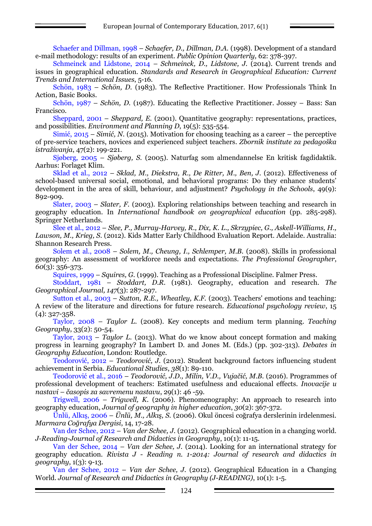Schaefer and Dillman, 1998 – *Schaefer, D., Dillman, D.A.* (1998). Development of a standard e-mail methodology: results of an experiment. *Public Opinion Quarterly,* 62: 378-397.

Schmeinck and Lidstone, 2014 – *Schmeinck, D., Lidstone, J.* (2014). Current trends and issues in geographical education. *Standards and Research in Geographical Education: Current Trends and International Issues*, 5-16.

Schön, 1983 – *Schön, D.* (1983). The Reflective Practitioner*.* How Professionals Think In Action, Basic Books.

Schön, 1987 – *Schön, D.* (1987). Educating the Reflective Practitioner. Jossey – Bass: San Francisco.

Sheppard, 2001 – *Sheppard, E.* (2001). Quantitative geography: representations, practices, and possibilities. *Environment and Planning D*, 19(5): 535-554.

Simić, 2015 – *Simić, N.* (2015). Motivation for choosing teaching as a career – the perceptive of pre-service teachers, novices and experienced subject teachers. *Zbornik institute za pedagoška istraživanja*, 47(2): 199-221.

Sjøberg, 2005 – *Sjøberg, S.* (2005). Naturfag som almendannelse En kritisk fagdidaktik. Aarhus: Forlaget Klim.

Sklad et al., 2012 – *Sklad, M., Diekstra, R., De Ritter, M., Ben, J.* (2012). Effectiveness of school-based universal social, emotional, and behavioral programs: Do they enhance students' development in the area of skill, behaviour, and adjustment? *Psychology in the Schools*, 49(9): 892-909.

Slater, 2003 – *Slater, F.* (2003). Exploring relationships between teaching and research in geography education. In *International handbook on geographical education* (pp. 285-298). Springer Netherlands.

Slee et al., 2012 – *Slee, P., Murray-Harvey, R., Dix, K. L., Skrzypiec, G., Askell-Williams, H., Lawson, M., Krieg, S.* (2012). Kids Matter Early Childhood Evaluation Report. Adelaide. Australia: Shannon Research Press.

Solem et al., 2008 – *Solem, M., Cheung, I., Schlemper, M.B.* (2008). Skills in professional geography: An assessment of workforce needs and expectations. *The Professional Geographer*, *60*(3): 356-373.

Squires, 1999 – *Squires, G.* (1999). Teaching as a Professional Discipline. Falmer Press.

Stoddart, 1981 – *Stoddart, D.R.* (1981). Geography, education and research. *The Geographical Journal, 147*(3): 287-297.

Sutton et al., 2003 – *Sutton, R.E., Wheatley, K.F.* (2003). Teachers' emotions and teaching: A review of the literature and directions for future research. *Educational psychology review*, 15 (4): 327-358.

Taylor, 2008 – *Taylor L.* (2008). Key concepts and medium term planning. *Teaching Geography*, 33(2): 50-54.

Taylor, 2013 – *Taylor L.* (2013). What do we know about concept formation and making progress in learning geography? In Lambert D. and Jones M. (Eds.) (pp. 302-313). *Debates in Geography Education*, London: Routledge.

Teodorović, 2012 – *Teodorović, J.* (2012). Student background factors influencing student achievement in Serbia. *Educational Studies*, *38*(1): 89-110.

Teodorović et al., 2016 – *Teodorović, J.D., Milin, V.D., Vujačić, M.B.* (2016). Programmes of professional development of teachers: Estimated usefulness and educaional effects. *Inovacije u nastavi* – *časopis za savremenu nastavu*, 29(1): 46 -59.

Trigwell, 2006 – *Trigwell, K.* (2006). Phenomenography: An approach to research into geography education, *Journal of geography in higher education*, *30*(2): 367-372.

Ünlü, Alkış, 2006 – *Ünlü, M., Alkış, S.* (2006). Okul öncesi coğrafya derslerinin irdelenmesi. *Marmara Coğrafya Dergisi*, 14, 17-28.

Van der Schee, 2012 – *Van der Schee, J.* (2012). Geographical education in a changing world. *J-Reading-Journal of Research and Didactics in Geography*, 10(1): 11-15.

Van der Schee, 2014 – *Van der Schee, J.* (2014). Looking for an international strategy for geography education. *Rivista J - Reading n. 1-2014: Journal of research and didactics in geography*, 1(3): 9-13.

Van der Schee, 2012 – *Van der Schee, J.* (2012). Geographical Education in a Changing World. *Journal of Research and Didactics in Geography (J-READING)*, 10(1): 1-5.